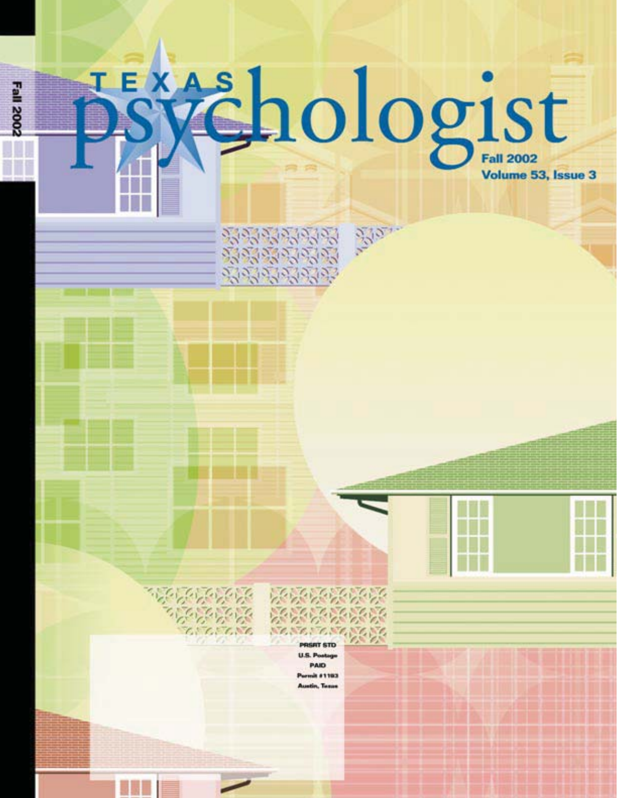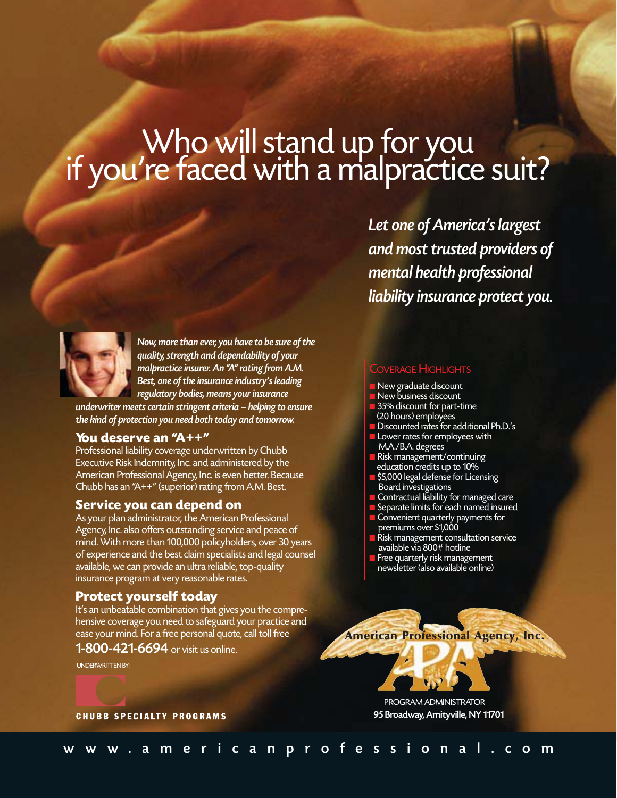# Who will stand up for you<br>if you're faced with a malpractice suit?



*Now, more than ever, you have to be sure of the quality, strength and dependability of your malpractice insurer. An "A" rating from A.M. Best, one of the insurance industry's leading regulatory bodies, means your insurance* 

*underwriter meets certain stringent criteria – helping to ensure the kind of protection you need both today and tomorrow.*

#### **You deserve an "A++"**

Professional liability coverage underwritten by Chubb Executive Risk Indemnity, Inc. and administered by the American Professional Agency, Inc. is even better. Because Chubb has an "A++" (superior) rating from A.M. Best.

#### **Service you can depend on**

As your plan administrator, the American Professional Agency, Inc. also offers outstanding service and peace of mind. With more than 100,000 policyholders, over 30 years of experience and the best claim specialists and legal counsel available, we can provide an ultra reliable, top-quality insurance program at very reasonable rates.

#### **Protect yourself today**

It's an unbeatable combination that gives you the comprehensive coverage you need to safeguard your practice and ease your mind. For a free personal quote, call toll free

1-800-421-6694 or visit us online.

UNDERWRITTEN BY:

#### **CHUBB SPECIALTY PROGRAMS**

*Let one of America's largest and most trusted providers of mental health professional liability insurance protect you.*

#### **VERAGE HIGHLIGHTS**

- New graduate discount
- New business discount
- 35% discount for part-time (20 hours) employees
- Discounted rates for additional Ph.D.'s
- Lower rates for employees with M.A./B.A. degrees
- Risk management/continuing education credits up to 10%
- **B** \$5,000 legal defense for Licensing Board investigations
- Contractual liability for managed care
- Separate limits for each named insured ■ Convenient quarterly payments for
- premiums over \$1,000
	- Risk management consultation service available via 800# hotline
	- Free quarterly risk management newsletter (also available online)

# American Professional Agency, Inc.

95 Broadway, Amityville, NY 11701 PROGRAM ADMINISTRATOR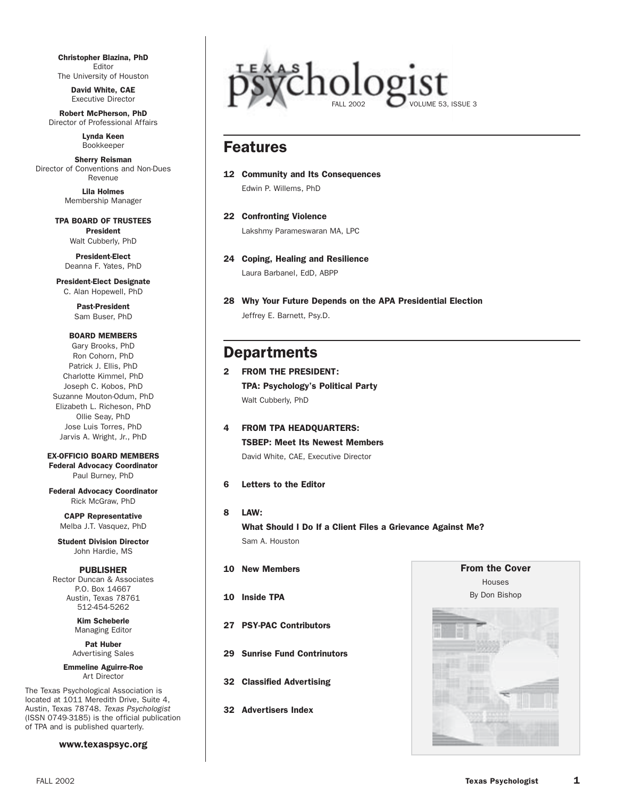Christopher Blazina, PhD Editor The University of Houston

> David White, CAE Executive Director

Robert McPherson, PhD Director of Professional Affairs

> Lynda Keen Bookkeeper

Sherry Reisman Director of Conventions and Non-Dues Revenue

> Lila Holmes Membership Manager

TPA BOARD OF TRUSTEES President Walt Cubberly, PhD

> President-Elect Deanna F. Yates, PhD

President-Elect Designate C. Alan Hopewell, PhD

> Past-President Sam Buser, PhD

#### BOARD MEMBERS

Gary Brooks, PhD Ron Cohorn, PhD Patrick J. Ellis, PhD Charlotte Kimmel, PhD Joseph C. Kobos, PhD Suzanne Mouton-Odum, PhD Elizabeth L. Richeson, PhD Ollie Seay, PhD Jose Luis Torres, PhD Jarvis A. Wright, Jr., PhD

#### EX-OFFICIO BOARD MEMBERS

Federal Advocacy Coordinator Paul Burney, PhD

Federal Advocacy Coordinator Rick McGraw, PhD

> CAPP Representative Melba J.T. Vasquez, PhD

Student Division Director John Hardie, MS

PUBLISHER Rector Duncan & Associates P.O. Box 14667 Austin, Texas 78761 512-454-5262

> Kim Scheberle Managing Editor

Pat Huber Advertising Sales

Emmeline Aguirre-Roe Art Director

The Texas Psychological Association is located at 1011 Meredith Drive, Suite 4, Austin, Texas 78748. Texas Psychologist (ISSN 0749-3185) is the official publication of TPA and is published quarterly.

www.texaspsyc.org



### Features

#### 12 Community and Its Consequences Edwin P. Willems, PhD

22 Confronting Violence Lakshmy Parameswaran MA, LPC

24 Coping, Healing and Resilience Laura Barbanel, EdD, ABPP

28 Why Your Future Depends on the APA Presidential Election Jeffrey E. Barnett, Psy.D.

### **Departments**

#### 2 FROM THE PRESIDENT:

TPA: Psychology's Political Party Walt Cubberly, PhD

#### 4 FROM TPA HEADQUARTERS: TSBEP: Meet Its Newest Members

David White, CAE, Executive Director

#### 6 Letters to the Editor

8 LAW:

What Should I Do If a Client Files a Grievance Against Me? Sam A. Houston

- 10 New Members
- 10 Inside TPA
- 27 PSY-PAC Contributors
- 29 Sunrise Fund Contrinutors
- 32 Classified Advertising
- 32 Advertisers Index

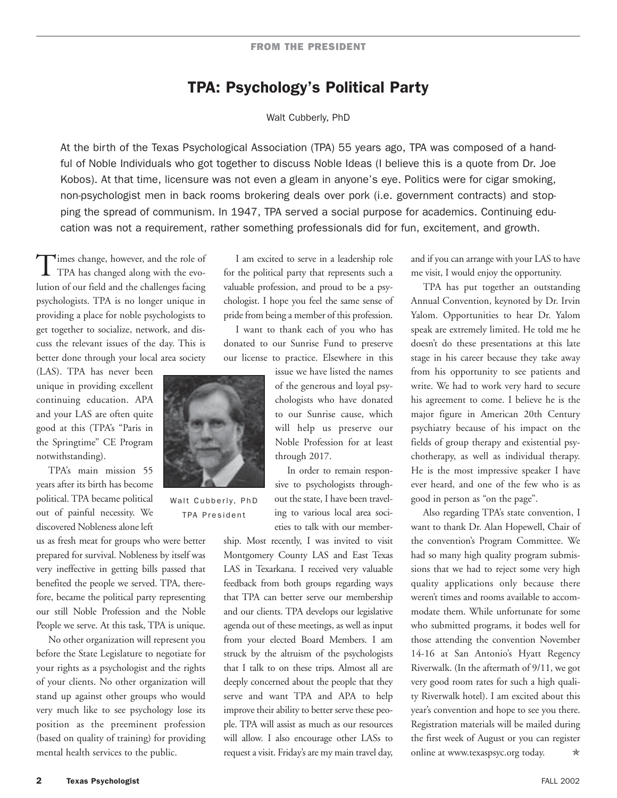### TPA: Psychology's Political Party

#### Walt Cubberly, PhD

At the birth of the Texas Psychological Association (TPA) 55 years ago, TPA was composed of a handful of Noble Individuals who got together to discuss Noble Ideas (I believe this is a quote from Dr. Joe Kobos). At that time, licensure was not even a gleam in anyone's eye. Politics were for cigar smoking, non-psychologist men in back rooms brokering deals over pork (i.e. government contracts) and stopping the spread of communism. In 1947, TPA served a social purpose for academics. Continuing education was not a requirement, rather something professionals did for fun, excitement, and growth.

Times change, however, and the role of<br>TPA has changed along with the evolution of our field and the challenges facing psychologists. TPA is no longer unique in providing a place for noble psychologists to get together to socialize, network, and discuss the relevant issues of the day. This is better done through your local area society

(LAS). TPA has never been unique in providing excellent continuing education. APA and your LAS are often quite good at this (TPA's "Paris in the Springtime" CE Program notwithstanding).

TPA's main mission 55 years after its birth has become political. TPA became political out of painful necessity. We discovered Nobleness alone left

us as fresh meat for groups who were better prepared for survival. Nobleness by itself was very ineffective in getting bills passed that benefited the people we served. TPA, therefore, became the political party representing our still Noble Profession and the Noble People we serve. At this task, TPA is unique.

No other organization will represent you before the State Legislature to negotiate for your rights as a psychologist and the rights of your clients. No other organization will stand up against other groups who would very much like to see psychology lose its position as the preeminent profession (based on quality of training) for providing mental health services to the public.

I am excited to serve in a leadership role for the political party that represents such a valuable profession, and proud to be a psychologist. I hope you feel the same sense of pride from being a member of this profession.

I want to thank each of you who has donated to our Sunrise Fund to preserve our license to practice. Elsewhere in this

> issue we have listed the names of the generous and loyal psychologists who have donated to our Sunrise cause, which will help us preserve our Noble Profession for at least through 2017.

> In order to remain responsive to psychologists throughout the state, I have been traveling to various local area societies to talk with our member-

ship. Most recently, I was invited to visit Montgomery County LAS and East Texas LAS in Texarkana. I received very valuable feedback from both groups regarding ways that TPA can better serve our membership and our clients. TPA develops our legislative agenda out of these meetings, as well as input from your elected Board Members. I am struck by the altruism of the psychologists that I talk to on these trips. Almost all are deeply concerned about the people that they serve and want TPA and APA to help improve their ability to better serve these people. TPA will assist as much as our resources will allow. I also encourage other LASs to request a visit. Friday's are my main travel day,

and if you can arrange with your LAS to have me visit, I would enjoy the opportunity.

TPA has put together an outstanding Annual Convention, keynoted by Dr. Irvin Yalom. Opportunities to hear Dr. Yalom speak are extremely limited. He told me he doesn't do these presentations at this late stage in his career because they take away from his opportunity to see patients and write. We had to work very hard to secure his agreement to come. I believe he is the major figure in American 20th Century psychiatry because of his impact on the fields of group therapy and existential psychotherapy, as well as individual therapy. He is the most impressive speaker I have ever heard, and one of the few who is as good in person as "on the page".

Also regarding TPA's state convention, I want to thank Dr. Alan Hopewell, Chair of the convention's Program Committee. We had so many high quality program submissions that we had to reject some very high quality applications only because there weren't times and rooms available to accommodate them. While unfortunate for some who submitted programs, it bodes well for those attending the convention November 14-16 at San Antonio's Hyatt Regency Riverwalk. (In the aftermath of 9/11, we got very good room rates for such a high quality Riverwalk hotel). I am excited about this year's convention and hope to see you there. Registration materials will be mailed during the first week of August or you can register online at www.texaspsyc.org today. ★



Walt Cubberly, PhD TPA President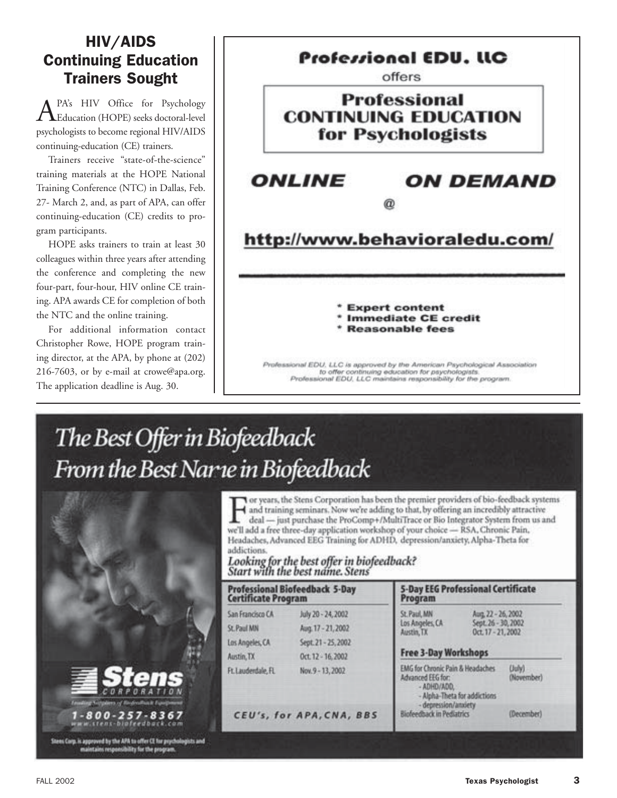### HIV/AIDS Continuing Education Trainers Sought

PA's HIV Office for Psychology Education (HOPE) seeks doctoral-level psychologists to become regional HIV/AIDS continuing-education (CE) trainers.

Trainers receive "state-of-the-science" training materials at the HOPE National Training Conference (NTC) in Dallas, Feb. 27- March 2, and, as part of APA, can offer continuing-education (CE) credits to program participants.

HOPE asks trainers to train at least 30 colleagues within three years after attending the conference and completing the new four-part, four-hour, HIV online CE training. APA awards CE for completion of both the NTC and the online training.

For additional information contact Christopher Rowe, HOPE program training director, at the APA, by phone at (202) 216-7603, or by e-mail at crowe@apa.org. The application deadline is Aug. 30.



# The Best Offer in Biofeedback From the Best Narne in Biofeedback



or years, the Stens Corporation has been the premier providers of bio-feedback systems and training seminars. Now we're adding to that, by offering an incredibly attractive deal - just purchase the ProComp+/MultiTrace or Bio Integrator System from us and we'll add a free three-day application workshop of your choice -- RSA, Chronic Pain, Headaches, Advanced EEG Training for ADHD, depression/anxiety, Alpha-Theta for addictions.

#### Looking for the best offer in biofeedback? Start with the best name. Stens

| <b>Professional Biofeedback 5-Day</b><br><b>Certificate Program</b> |                                          | 5-Day EEG Professional Certificate<br>Program                                     |                                           |                      |
|---------------------------------------------------------------------|------------------------------------------|-----------------------------------------------------------------------------------|-------------------------------------------|----------------------|
| San Francisco CA<br>St. Paul MN                                     | July 20 - 24, 2002<br>Aug. 17 - 21, 2002 | St. Paul, MN<br>Los Angeles, CA                                                   | Aug. 22 - 26, 2002<br>Sept. 26 - 30, 2002 |                      |
| Los Angeles, CA                                                     | Sept. 21 - 25.2002                       | Austin, TX                                                                        | Oct. 17 - 21, 2002                        |                      |
| Austin, TX                                                          | Oct. 12 - 16, 2002                       | <b>Free 3-Day Workshops</b>                                                       |                                           |                      |
| Ft. Laudendale, FL                                                  | Nov. 9 - 13, 2002                        | <b>EMG for Chronic Pain &amp; Headaches</b><br>Advanced EEG for:<br>$-$ ADHD/ADD. | - Alpha-Theta for addictions              | (July)<br>(November) |
| CEU's, for APA, CNA, BBS                                            |                                          | - depression/anxiety<br>Biofeedback in Pediatrics                                 |                                           | (December)           |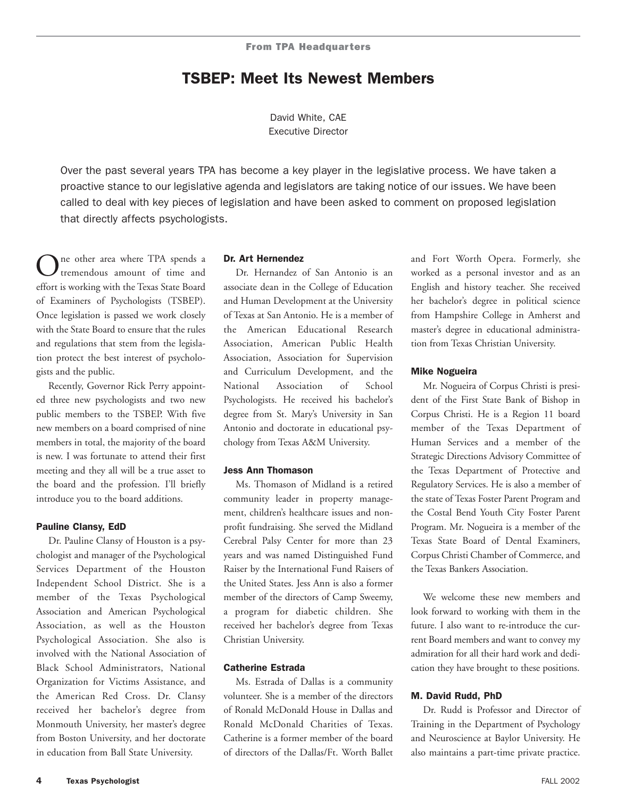### TSBEP: Meet Its Newest Members

David White, CAE Executive Director

Over the past several years TPA has become a key player in the legislative process. We have taken a proactive stance to our legislative agenda and legislators are taking notice of our issues. We have been called to deal with key pieces of legislation and have been asked to comment on proposed legislation that directly affects psychologists.

ne other area where TPA spends a tremendous amount of time and effort is working with the Texas State Board of Examiners of Psychologists (TSBEP). Once legislation is passed we work closely with the State Board to ensure that the rules and regulations that stem from the legislation protect the best interest of psychologists and the public.

Recently, Governor Rick Perry appointed three new psychologists and two new public members to the TSBEP. With five new members on a board comprised of nine members in total, the majority of the board is new. I was fortunate to attend their first meeting and they all will be a true asset to the board and the profession. I'll briefly introduce you to the board additions.

#### Pauline Clansy, EdD

Dr. Pauline Clansy of Houston is a psychologist and manager of the Psychological Services Department of the Houston Independent School District. She is a member of the Texas Psychological Association and American Psychological Association, as well as the Houston Psychological Association. She also is involved with the National Association of Black School Administrators, National Organization for Victims Assistance, and the American Red Cross. Dr. Clansy received her bachelor's degree from Monmouth University, her master's degree from Boston University, and her doctorate in education from Ball State University.

#### Dr. Art Hernendez

Dr. Hernandez of San Antonio is an associate dean in the College of Education and Human Development at the University of Texas at San Antonio. He is a member of the American Educational Research Association, American Public Health Association, Association for Supervision and Curriculum Development, and the National Association of School Psychologists. He received his bachelor's degree from St. Mary's University in San Antonio and doctorate in educational psychology from Texas A&M University.

#### Jess Ann Thomason

Ms. Thomason of Midland is a retired community leader in property management, children's healthcare issues and nonprofit fundraising. She served the Midland Cerebral Palsy Center for more than 23 years and was named Distinguished Fund Raiser by the International Fund Raisers of the United States. Jess Ann is also a former member of the directors of Camp Sweemy, a program for diabetic children. She received her bachelor's degree from Texas Christian University.

#### Catherine Estrada

Ms. Estrada of Dallas is a community volunteer. She is a member of the directors of Ronald McDonald House in Dallas and Ronald McDonald Charities of Texas. Catherine is a former member of the board of directors of the Dallas/Ft. Worth Ballet and Fort Worth Opera. Formerly, she worked as a personal investor and as an English and history teacher. She received her bachelor's degree in political science from Hampshire College in Amherst and master's degree in educational administration from Texas Christian University.

#### Mike Nogueira

Mr. Nogueira of Corpus Christi is president of the First State Bank of Bishop in Corpus Christi. He is a Region 11 board member of the Texas Department of Human Services and a member of the Strategic Directions Advisory Committee of the Texas Department of Protective and Regulatory Services. He is also a member of the state of Texas Foster Parent Program and the Costal Bend Youth City Foster Parent Program. Mr. Nogueira is a member of the Texas State Board of Dental Examiners, Corpus Christi Chamber of Commerce, and the Texas Bankers Association.

We welcome these new members and look forward to working with them in the future. I also want to re-introduce the current Board members and want to convey my admiration for all their hard work and dedication they have brought to these positions.

#### M. David Rudd, PhD

Dr. Rudd is Professor and Director of Training in the Department of Psychology and Neuroscience at Baylor University. He also maintains a part-time private practice.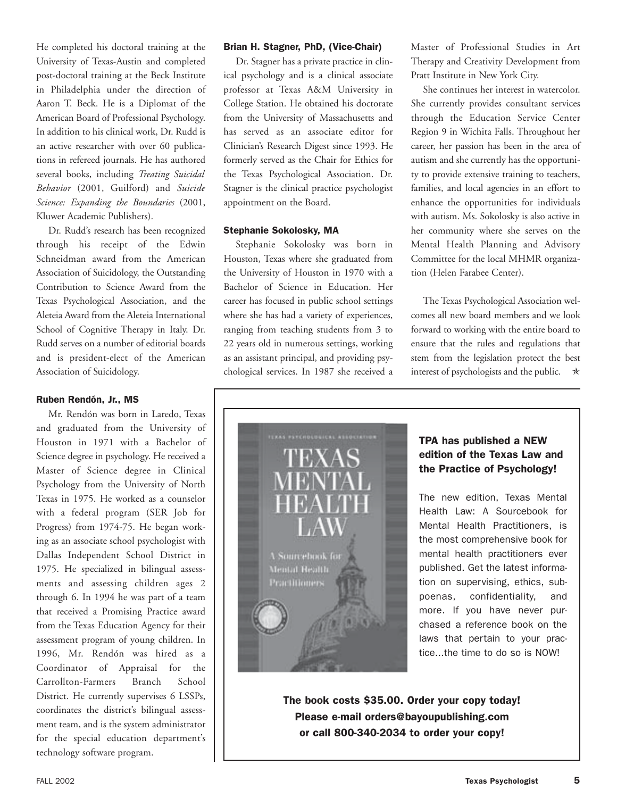He completed his doctoral training at the University of Texas-Austin and completed post-doctoral training at the Beck Institute in Philadelphia under the direction of Aaron T. Beck. He is a Diplomat of the American Board of Professional Psychology. In addition to his clinical work, Dr. Rudd is an active researcher with over 60 publications in refereed journals. He has authored several books, including *Treating Suicidal Behavior* (2001, Guilford) and *Suicide Science: Expanding the Boundaries* (2001, Kluwer Academic Publishers).

Dr. Rudd's research has been recognized through his receipt of the Edwin Schneidman award from the American Association of Suicidology, the Outstanding Contribution to Science Award from the Texas Psychological Association, and the Aleteia Award from the Aleteia International School of Cognitive Therapy in Italy. Dr. Rudd serves on a number of editorial boards and is president-elect of the American Association of Suicidology.

#### Ruben Rendón, Jr., MS

Mr. Rendón was born in Laredo, Texas and graduated from the University of Houston in 1971 with a Bachelor of Science degree in psychology. He received a Master of Science degree in Clinical Psychology from the University of North Texas in 1975. He worked as a counselor with a federal program (SER Job for Progress) from 1974-75. He began working as an associate school psychologist with Dallas Independent School District in 1975. He specialized in bilingual assessments and assessing children ages 2 through 6. In 1994 he was part of a team that received a Promising Practice award from the Texas Education Agency for their assessment program of young children. In 1996, Mr. Rendón was hired as a Coordinator of Appraisal for the Carrollton-Farmers Branch School District. He currently supervises 6 LSSPs, coordinates the district's bilingual assessment team, and is the system administrator for the special education department's technology software program.

#### Brian H. Stagner, PhD, (Vice-Chair)

Dr. Stagner has a private practice in clinical psychology and is a clinical associate professor at Texas A&M University in College Station. He obtained his doctorate from the University of Massachusetts and has served as an associate editor for Clinician's Research Digest since 1993. He formerly served as the Chair for Ethics for the Texas Psychological Association. Dr. Stagner is the clinical practice psychologist appointment on the Board.

#### Stephanie Sokolosky, MA

Stephanie Sokolosky was born in Houston, Texas where she graduated from the University of Houston in 1970 with a Bachelor of Science in Education. Her career has focused in public school settings where she has had a variety of experiences, ranging from teaching students from 3 to 22 years old in numerous settings, working as an assistant principal, and providing psychological services. In 1987 she received a Master of Professional Studies in Art Therapy and Creativity Development from Pratt Institute in New York City.

She continues her interest in watercolor. She currently provides consultant services through the Education Service Center Region 9 in Wichita Falls. Throughout her career, her passion has been in the area of autism and she currently has the opportunity to provide extensive training to teachers, families, and local agencies in an effort to enhance the opportunities for individuals with autism. Ms. Sokolosky is also active in her community where she serves on the Mental Health Planning and Advisory Committee for the local MHMR organization (Helen Farabee Center).

The Texas Psychological Association welcomes all new board members and we look forward to working with the entire board to ensure that the rules and regulations that stem from the legislation protect the best interest of psychologists and the public.  $\star$ 



#### TPA has published a NEW edition of the Texas Law and the Practice of Psychology!

The new edition, Texas Mental Health Law: A Sourcebook for Mental Health Practitioners, is the most comprehensive book for mental health practitioners ever published. Get the latest information on supervising, ethics, subpoenas, confidentiality, and more. If you have never purchased a reference book on the laws that pertain to your practice...the time to do so is NOW!

The book costs \$35.00. Order your copy today! Please e-mail orders@bayoupublishing.com or call 800-340-2034 to order your copy!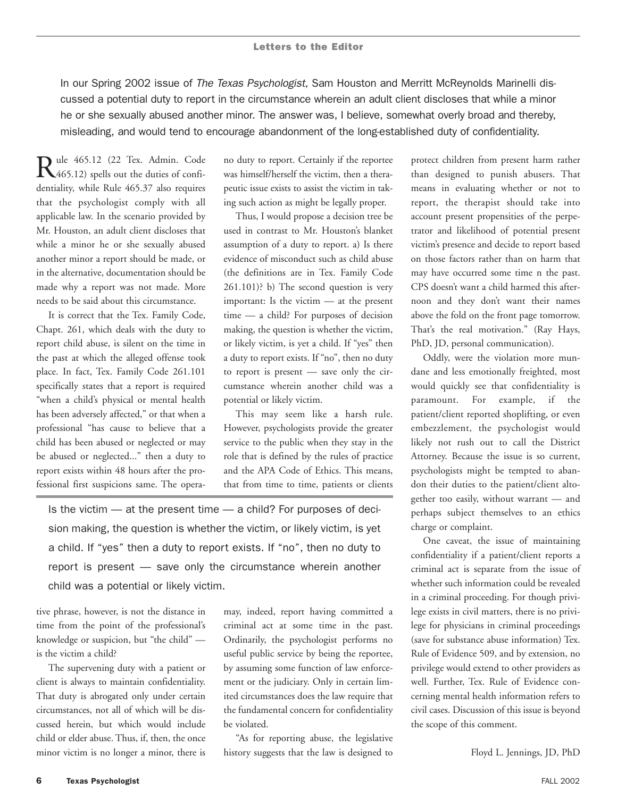In our Spring 2002 issue of The Texas Psychologist, Sam Houston and Merritt McReynolds Marinelli discussed a potential duty to report in the circumstance wherein an adult client discloses that while a minor he or she sexually abused another minor. The answer was, I believe, somewhat overly broad and thereby, misleading, and would tend to encourage abandonment of the long-established duty of confidentiality.

Rule 465.12 (22 Tex. Admin. Code<br>465.12) spells out the duties of confidentiality, while Rule 465.37 also requires that the psychologist comply with all applicable law. In the scenario provided by Mr. Houston, an adult client discloses that while a minor he or she sexually abused another minor a report should be made, or in the alternative, documentation should be made why a report was not made. More needs to be said about this circumstance.

It is correct that the Tex. Family Code, Chapt. 261, which deals with the duty to report child abuse, is silent on the time in the past at which the alleged offense took place. In fact, Tex. Family Code 261.101 specifically states that a report is required "when a child's physical or mental health has been adversely affected," or that when a professional "has cause to believe that a child has been abused or neglected or may be abused or neglected..." then a duty to report exists within 48 hours after the professional first suspicions same. The opera-

no duty to report. Certainly if the reportee was himself/herself the victim, then a therapeutic issue exists to assist the victim in taking such action as might be legally proper.

Thus, I would propose a decision tree be used in contrast to Mr. Houston's blanket assumption of a duty to report. a) Is there evidence of misconduct such as child abuse (the definitions are in Tex. Family Code 261.101)? b) The second question is very important: Is the victim — at the present time — a child? For purposes of decision making, the question is whether the victim, or likely victim, is yet a child. If "yes" then a duty to report exists. If "no", then no duty to report is present — save only the circumstance wherein another child was a potential or likely victim.

This may seem like a harsh rule. However, psychologists provide the greater service to the public when they stay in the role that is defined by the rules of practice and the APA Code of Ethics. This means, that from time to time, patients or clients

Is the victim — at the present time — a child? For purposes of decision making, the question is whether the victim, or likely victim, is yet a child. If "yes" then a duty to report exists. If "no", then no duty to report is present — save only the circumstance wherein another child was a potential or likely victim.

tive phrase, however, is not the distance in time from the point of the professional's knowledge or suspicion, but "the child" is the victim a child?

The supervening duty with a patient or client is always to maintain confidentiality. That duty is abrogated only under certain circumstances, not all of which will be discussed herein, but which would include child or elder abuse. Thus, if, then, the once minor victim is no longer a minor, there is may, indeed, report having committed a criminal act at some time in the past. Ordinarily, the psychologist performs no useful public service by being the reportee, by assuming some function of law enforcement or the judiciary. Only in certain limited circumstances does the law require that the fundamental concern for confidentiality be violated.

"As for reporting abuse, the legislative history suggests that the law is designed to

protect children from present harm rather than designed to punish abusers. That means in evaluating whether or not to report, the therapist should take into account present propensities of the perpetrator and likelihood of potential present victim's presence and decide to report based on those factors rather than on harm that may have occurred some time n the past. CPS doesn't want a child harmed this afternoon and they don't want their names above the fold on the front page tomorrow. That's the real motivation." (Ray Hays, PhD, JD, personal communication).

Oddly, were the violation more mundane and less emotionally freighted, most would quickly see that confidentiality is paramount. For example, if the patient/client reported shoplifting, or even embezzlement, the psychologist would likely not rush out to call the District Attorney. Because the issue is so current, psychologists might be tempted to abandon their duties to the patient/client altogether too easily, without warrant — and perhaps subject themselves to an ethics charge or complaint.

One caveat, the issue of maintaining confidentiality if a patient/client reports a criminal act is separate from the issue of whether such information could be revealed in a criminal proceeding. For though privilege exists in civil matters, there is no privilege for physicians in criminal proceedings (save for substance abuse information) Tex. Rule of Evidence 509, and by extension, no privilege would extend to other providers as well. Further, Tex. Rule of Evidence concerning mental health information refers to civil cases. Discussion of this issue is beyond the scope of this comment.

Floyd L. Jennings, JD, PhD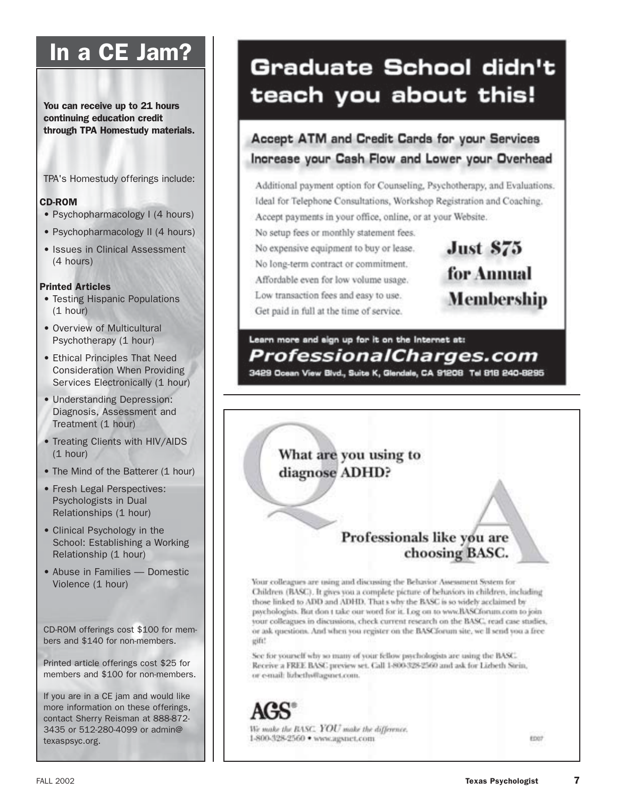# In a CE Jam?

You can receive up to 21 hours continuing education credit through TPA Homestudy materials.

TPA's Homestudy offerings include:

#### CD-ROM

- Psychopharmacology I (4 hours)
- Psychopharmacology II (4 hours)
- Issues in Clinical Assessment (4 hours)

#### Printed Articles

- Testing Hispanic Populations (1 hour)
- Overview of Multicultural Psychotherapy (1 hour)
- Ethical Principles That Need Consideration When Providing Services Electronically (1 hour)
- Understanding Depression: Diagnosis, Assessment and Treatment (1 hour)
- Treating Clients with HIV/AIDS (1 hour)
- The Mind of the Batterer (1 hour)
- Fresh Legal Perspectives: Psychologists in Dual Relationships (1 hour)
- Clinical Psychology in the School: Establishing a Working Relationship (1 hour)
- Abuse in Families Domestic Violence (1 hour)

CD-ROM offerings cost \$100 for members and \$140 for non-members.

Printed article offerings cost \$25 for members and \$100 for non-members.

If you are in a CE jam and would like more information on these offerings, contact Sherry Reisman at 888-872- 3435 or 512-280-4099 or admin@ texaspsyc.org.

# **Graduate School didn't** teach you about this!

### Accept ATM and Credit Cards for your Services Increase your Cash Flow and Lower your Overhead

Additional payment option for Counseling, Psychotherapy, and Evaluations. Ideal for Telephone Consultations, Workshop Registration and Coaching. Accept payments in your office, online, or at your Website.

No setup fees or monthly statement fees.

- No expensive equipment to buy or lease.
- No long-term contract or commitment.
- Affordable even for low volume usage.

Low transaction fees and easy to use.

Get paid in full at the time of service.

Just  $S<sub>75</sub>$ for Annual **Membership** 

### Learn more and sign up for it on the Internet at: **ProfessionalCharges.com**

3429 Ocean View Blvd., Suite K, Glendale, CA 91208 Tel 818 240-8295

What are you using to diagnose ADHD?

### Professionals like you are choosing BASC.

Your colleagues are using and discussing the Behavior Assessment System for Children (BASC). It gives you a complete picture of behaviors in children, including those linked to ADD and ADHD. That s why the BASC is so widely acclaimed by psychologists. But don t take our word for it. Log on to www.BASCforum.com to join your colleagues in discussions, check current research on the BASC, read case studies, or ask questions. And when you register on the BASC forum site, we ll send you a free gift!

See for yourself why so many of your fellow psychologists are using the BASC. Receive a FREE BASC preview set. Call 1-800-328-2560 and ask for Lizheth Stein, or e-mail: lizhethwllagenet.com.



We make the BASC. YOU make the difference. 1-800-328-2560 · www.agsnet.com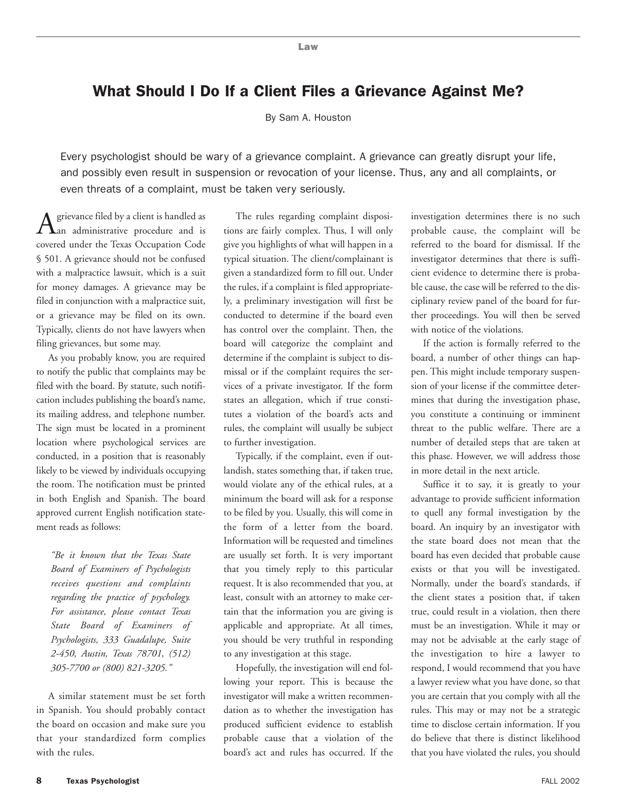### What Should I Do If a Client Files a Grievance Against Me?

By Sam A. Houston

Every psychologist should be wary of a grievance complaint. A grievance can greatly disrupt your life, and possibly even result in suspension or revocation of your license. Thus, any and all complaints, or even threats of a complaint, must be taken very seriously.

Agrievance filed by a client is handled as<br>an administrative procedure and is covered under the Texas Occupation Code § 501. A grievance should not be confused with a malpractice lawsuit, which is a suit for money damages. A grievance may be filed in conjunction with a malpractice suit, or a grievance may be filed on its own. Typically, clients do not have lawyers when filing grievances, but some may.

As you probably know, you are required to notify the public that complaints may be filed with the board. By statute, such notification includes publishing the board's name, its mailing address, and telephone number. The sign must be located in a prominent location where psychological services are conducted, in a position that is reasonably likely to be viewed by individuals occupying the room. The notification must be printed in both English and Spanish. The board approved current English notification statement reads as follows:

*"Be it known that the Texas State Board of Examiners of Psychologists receives questions and complaints regarding the practice of psychology. For assistance, please contact Texas State Board of Examiners of Psychologists, 333 Guadalupe, Suite 2-450, Austin, Texas 78701, (512) 305-7700 or (800) 821-3205."*

A similar statement must be set forth in Spanish. You should probably contact the board on occasion and make sure you that your standardized form complies with the rules.

The rules regarding complaint dispositions are fairly complex. Thus, I will only give you highlights of what will happen in a typical situation. The client/complainant is given a standardized form to fill out. Under the rules, if a complaint is filed appropriately, a preliminary investigation will first be conducted to determine if the board even has control over the complaint. Then, the board will categorize the complaint and determine if the complaint is subject to dismissal or if the complaint requires the services of a private investigator. If the form states an allegation, which if true constitutes a violation of the board's acts and rules, the complaint will usually be subject to further investigation.

Typically, if the complaint, even if outlandish, states something that, if taken true, would violate any of the ethical rules, at a minimum the board will ask for a response to be filed by you. Usually, this will come in the form of a letter from the board. Information will be requested and timelines are usually set forth. It is very important that you timely reply to this particular request. It is also recommended that you, at least, consult with an attorney to make certain that the information you are giving is applicable and appropriate. At all times, you should be very truthful in responding to any investigation at this stage.

Hopefully, the investigation will end following your report. This is because the investigator will make a written recommendation as to whether the investigation has produced sufficient evidence to establish probable cause that a violation of the board's act and rules has occurred. If the investigation determines there is no such probable cause, the complaint will be referred to the board for dismissal. If the investigator determines that there is sufficient evidence to determine there is probable cause, the case will be referred to the disciplinary review panel of the board for further proceedings. You will then be served with notice of the violations.

If the action is formally referred to the board, a number of other things can happen. This might include temporary suspension of your license if the committee determines that during the investigation phase, you constitute a continuing or imminent threat to the public welfare. There are a number of detailed steps that are taken at this phase. However, we will address those in more detail in the next article.

Suffice it to say, it is greatly to your advantage to provide sufficient information to quell any formal investigation by the board. An inquiry by an investigator with the state board does not mean that the board has even decided that probable cause exists or that you will be investigated. Normally, under the board's standards, if the client states a position that, if taken true, could result in a violation, then there must be an investigation. While it may or may not be advisable at the early stage of the investigation to hire a lawyer to respond, I would recommend that you have a lawyer review what you have done, so that you are certain that you comply with all the rules. This may or may not be a strategic time to disclose certain information. If you do believe that there is distinct likelihood that you have violated the rules, you should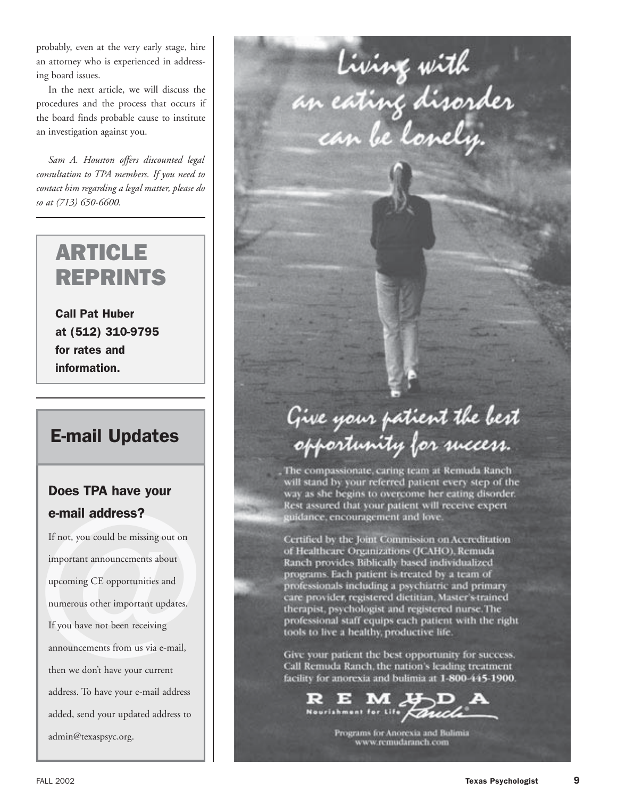probably, even at the very early stage, hire an attorney who is experienced in addressing board issues.

In the next article, we will discuss the procedures and the process that occurs if the board finds probable cause to institute an investigation against you.

*Sam A. Houston offers discounted legal consultation to TPA members. If you need to contact him regarding a legal matter, please do so at (713) 650-6600.*

## ARTICLE REPRINTS

Call Pat Huber at (512) 310-9795 for rates and information.

### E-mail Updates

### Does TPA have your e-mail address?

**e-mail address?**<br>If not, you could be missing out on<br>important announcements about<br>upcoming CE opportunities and<br>numerous other important updates.<br>If you have not been receiving<br>announcements from us via e-mail,<br>then we d If not, you could be missing out on important announcements about upcoming CE opportunities and numerous other important updates. If you have not been receiving announcements from us via e-mail, then we don't have your current address. To have your e-mail address added, send your updated address to admin@texaspsyc.org.

living with<br>an eating disorder<br>can be lonely.

# Give your patient the bert<br>opportunity for mecess.

The compassionate, caring team at Remuda Ranch will stand by your referred patient every step of the way as she begins to overcome her eating disorder. Rest assured that your patient will receive expert guidance, encouragement and love.

Certified by the Joint Commission on Accreditation of Healthcare Organizations (JCAHO), Remuda Ranch provides Biblically based individualized programs. Each patient is treated by a team of professionals including a psychiatric and primary care provider, registered dictitian, Master's trained therapist, psychologist and registered nurse. The professional staff equips each patient with the right tools to live a healthy, productive life.

Give your patient the best opportunity for success. Call Remuda Ranch, the nation's leading treatment. facility for anorexia and bulimia at 1-800-445-1900.

Novisionment for Life Lancola

Programs for Anorexia and Bulimia www.remudaranch.com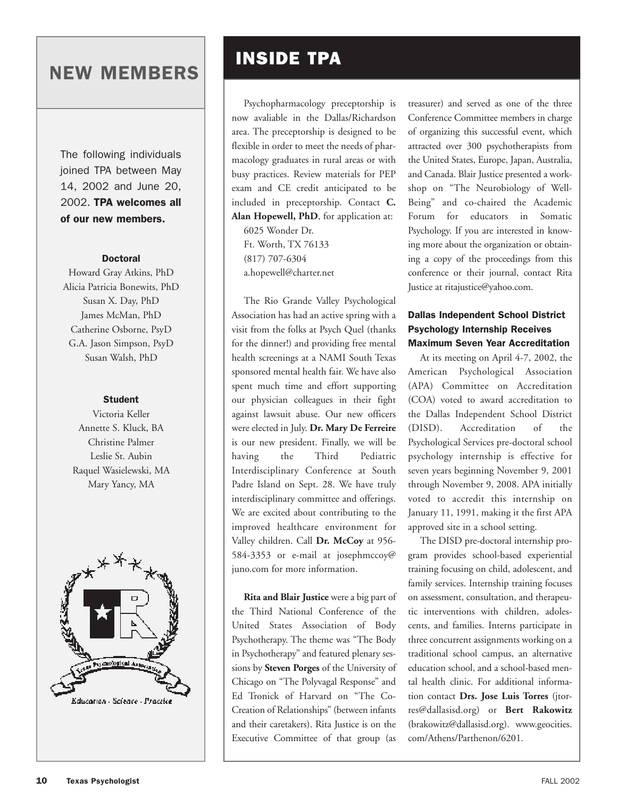### NEW MEMBERS

The following individuals joined TPA between May 14, 2002 and June 20, 2002. TPA welcomes all of our new members.

#### Doctoral

Howard Gray Atkins, PhD Alicia Patricia Bonewits, PhD Susan X. Day, PhD James McMan, PhD Catherine Osborne, PsyD G.A. Jason Simpson, PsyD Susan Walsh, PhD

#### Student

Victoria Keller Annette S. Kluck, BA Christine Palmer Leslie St. Aubin Raquel Wasielewski, MA Mary Yancy, MA



### INSIDE TPA

Psychopharmacology preceptorship is now avaliable in the Dallas/Richardson area. The preceptorship is designed to be flexible in order to meet the needs of pharmacology graduates in rural areas or with busy practices. Review materials for PEP exam and CE credit anticipated to be included in preceptorship. Contact **C. Alan Hopewell, PhD**, for application at:

6025 Wonder Dr. Ft. Worth, TX 76133 (817) 707-6304 a.hopewell@charter.net

The Rio Grande Valley Psychological Association has had an active spring with a visit from the folks at Psych Quel (thanks for the dinner!) and providing free mental health screenings at a NAMI South Texas sponsored mental health fair. We have also spent much time and effort supporting our physician colleagues in their fight against lawsuit abuse. Our new officers were elected in July. **Dr. Mary De Ferreire** is our new president. Finally, we will be having the Third Pediatric Interdisciplinary Conference at South Padre Island on Sept. 28. We have truly interdisciplinary committee and offerings. We are excited about contributing to the improved healthcare environment for Valley children. Call **Dr. McCoy** at 956- 584-3353 or e-mail at josephmccoy@ juno.com for more information.

**Rita and Blair Justice** were a big part of the Third National Conference of the United States Association of Body Psychotherapy. The theme was "The Body in Psychotherapy" and featured plenary sessions by **Steven Porges** of the University of Chicago on "The Polyvagal Response" and Ed Tronick of Harvard on "The Co-Creation of Relationships" (between infants and their caretakers). Rita Justice is on the Executive Committee of that group (as

treasurer) and served as one of the three Conference Committee members in charge of organizing this successful event, which attracted over 300 psychotherapists from the United States, Europe, Japan, Australia, and Canada. Blair Justice presented a workshop on "The Neurobiology of Well-Being" and co-chaired the Academic Forum for educators in Somatic Psychology. If you are interested in knowing more about the organization or obtaining a copy of the proceedings from this conference or their journal, contact Rita Justice at ritajustice@yahoo.com.

#### Dallas Independent School District Psychology Internship Receives Maximum Seven Year Accreditation

At its meeting on April 4-7, 2002, the American Psychological Association (APA) Committee on Accreditation (COA) voted to award accreditation to the Dallas Independent School District (DISD). Accreditation of the Psychological Services pre-doctoral school psychology internship is effective for seven years beginning November 9, 2001 through November 9, 2008. APA initially voted to accredit this internship on January 11, 1991, making it the first APA approved site in a school setting.

The DISD pre-doctoral internship program provides school-based experiential training focusing on child, adolescent, and family services. Internship training focuses on assessment, consultation, and therapeutic interventions with children, adolescents, and families. Interns participate in three concurrent assignments working on a traditional school campus, an alternative education school, and a school-based mental health clinic. For additional information contact **Drs. Jose Luis Torres** (jtorres@dallasisd.org) or **Bert Rakowitz** (brakowitz@dallasisd.org). www.geocities. com/Athens/Parthenon/6201.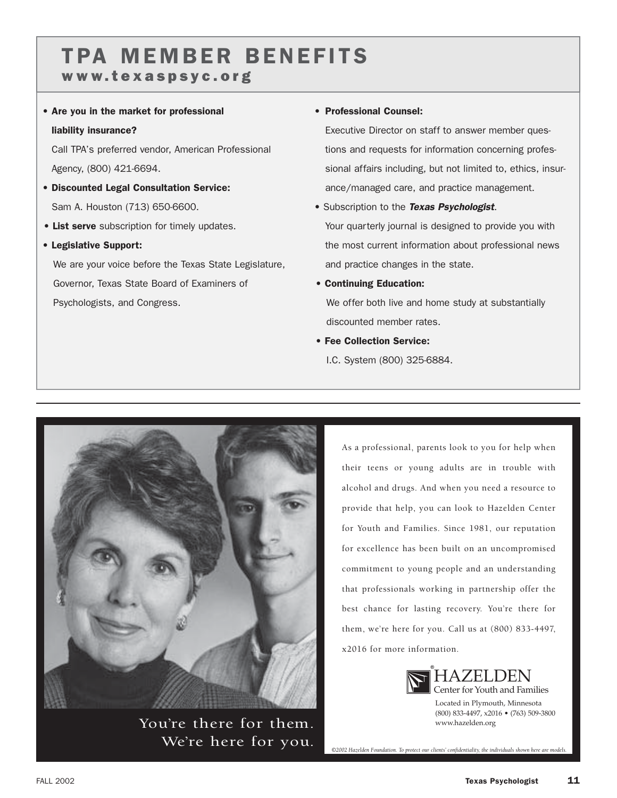# TPA MEMBER BENEFITS

www.texaspsyc.org

• Are you in the market for professional liability insurance?

Call TPA's preferred vendor, American Professional Agency, (800) 421-6694.

- Discounted Legal Consultation Service: Sam A. Houston (713) 650-6600.
- List serve subscription for timely updates.
- Legislative Support:

We are your voice before the Texas State Legislature, Governor, Texas State Board of Examiners of Psychologists, and Congress.

#### • Professional Counsel:

Executive Director on staff to answer member questions and requests for information concerning professional affairs including, but not limited to, ethics, insurance/managed care, and practice management.

• Subscription to the Texas Psychologist.

Your quarterly journal is designed to provide you with the most current information about professional news and practice changes in the state.

• Continuing Education:

We offer both live and home study at substantially discounted member rates.

• Fee Collection Service:

I.C. System (800) 325-6884.



You're there for them. We're here for you.

As a professional, parents look to you for help when their teens or young adults are in trouble with alcohol and drugs. And when you need a resource to provide that help, you can look to Hazelden Center for Youth and Families. Since 1981, our reputation for excellence has been built on an uncompromised commitment to young people and an understanding that professionals working in partnership offer the best chance for lasting recovery. You're there for them, we're here for you. Call us at (800) 833-4497, x2016 for more information.



Located in Plymouth, Minnesota (800) 833-4497, x2016 • (763) 509-3800 www.hazelden.org

*©2002 Hazelden Foundation. To protect our clients' confidentiality, the individuals shown here are models.*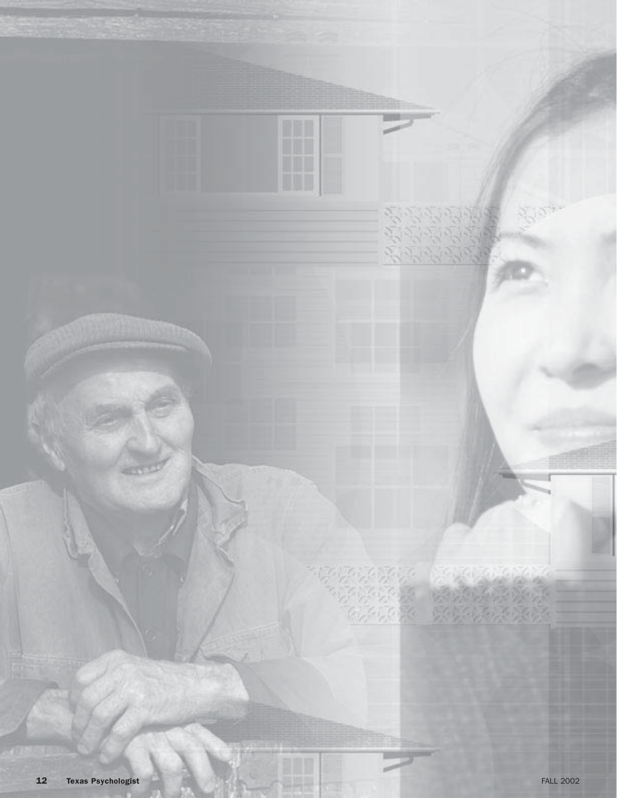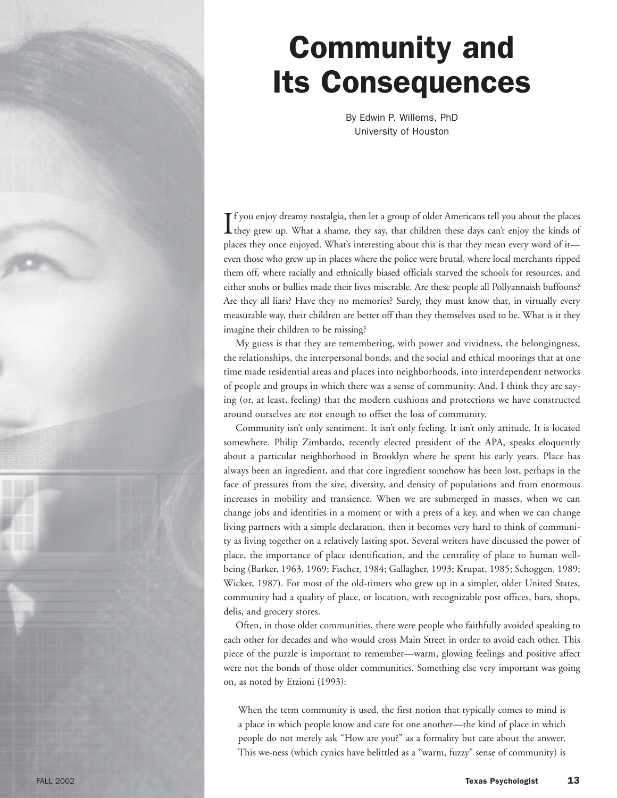

# Community and Its Consequences

By Edwin P. Willems, PhD University of Houston

If you enjoy dreamy nostalgia, then let a group of older Americans tell you about the places<br>they grew up. What a shame, they say, that children these days can't enjoy the kinds of **T** f you enjoy dreamy nostalgia, then let a group of older Americans tell you about the places places they once enjoyed. What's interesting about this is that they mean every word of it even those who grew up in places where the police were brutal, where local merchants ripped them off, where racially and ethnically biased officials starved the schools for resources, and either snobs or bullies made their lives miserable. Are these people all Pollyannaish buffoons? Are they all liars? Have they no memories? Surely, they must know that, in virtually every measurable way, their children are better off than they themselves used to be. What is it they imagine their children to be missing?

My guess is that they are remembering, with power and vividness, the belongingness, the relationships, the interpersonal bonds, and the social and ethical moorings that at one time made residential areas and places into neighborhoods, into interdependent networks of people and groups in which there was a sense of community. And, I think they are saying (or, at least, feeling) that the modern cushions and protections we have constructed around ourselves are not enough to offset the loss of community.

Community isn't only sentiment. It isn't only feeling. It isn't only attitude. It is located somewhere. Philip Zimbardo, recently elected president of the APA, speaks eloquently about a particular neighborhood in Brooklyn where he spent his early years. Place has always been an ingredient, and that core ingredient somehow has been lost, perhaps in the face of pressures from the size, diversity, and density of populations and from enormous increases in mobility and transience. When we are submerged in masses, when we can change jobs and identities in a moment or with a press of a key, and when we can change living partners with a simple declaration, then it becomes very hard to think of community as living together on a relatively lasting spot. Several writers have discussed the power of place, the importance of place identification, and the centrality of place to human wellbeing (Barker, 1963, 1969; Fischer, 1984; Gallagher, 1993; Krupat, 1985; Schoggen, 1989; Wicker, 1987). For most of the old-timers who grew up in a simpler, older United States, community had a quality of place, or location, with recognizable post offices, bars, shops, delis, and grocery stores.

Often, in those older communities, there were people who faithfully avoided speaking to each other for decades and who would cross Main Street in order to avoid each other. This piece of the puzzle is important to remember—warm, glowing feelings and positive affect were not the bonds of those older communities. Something else very important was going on, as noted by Etzioni (1993):

When the term community is used, the first notion that typically comes to mind is a place in which people know and care for one another—the kind of place in which people do not merely ask "How are you?" as a formality but care about the answer. This we-ness (which cynics have belittled as a "warm, fuzzy" sense of community) is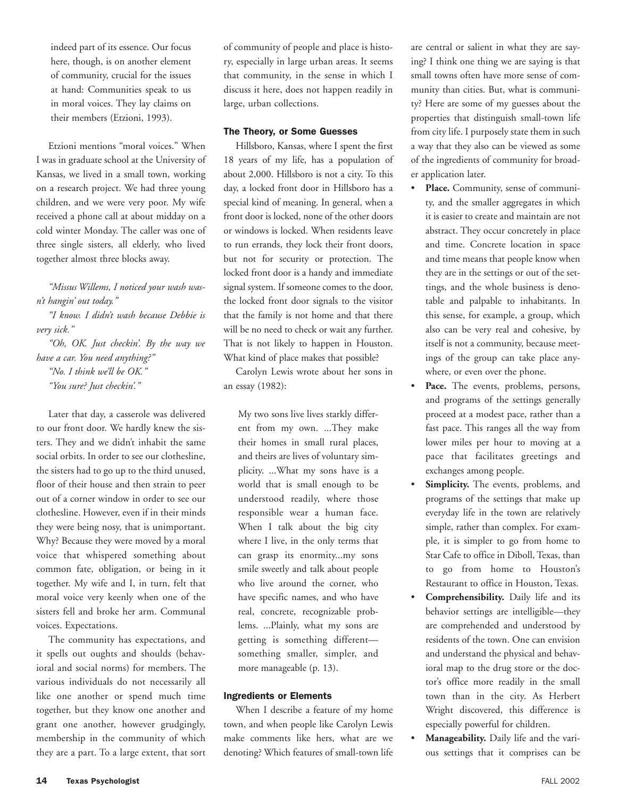indeed part of its essence. Our focus here, though, is on another element of community, crucial for the issues at hand: Communities speak to us in moral voices. They lay claims on their members (Etzioni, 1993).

Etzioni mentions "moral voices." When I was in graduate school at the University of Kansas, we lived in a small town, working on a research project. We had three young children, and we were very poor. My wife received a phone call at about midday on a cold winter Monday. The caller was one of three single sisters, all elderly, who lived together almost three blocks away.

*"Missus Willems, I noticed your wash wasn't hangin' out today."*

*"I know. I didn't wash because Debbie is very sick."* 

*"Oh, OK. Just checkin'. By the way we have a car. You need anything?" "No. I think we'll be OK." "You sure? Just checkin'."* 

Later that day, a casserole was delivered to our front door. We hardly knew the sisters. They and we didn't inhabit the same social orbits. In order to see our clothesline, the sisters had to go up to the third unused, floor of their house and then strain to peer out of a corner window in order to see our clothesline. However, even if in their minds they were being nosy, that is unimportant. Why? Because they were moved by a moral voice that whispered something about common fate, obligation, or being in it together. My wife and I, in turn, felt that moral voice very keenly when one of the sisters fell and broke her arm. Communal voices. Expectations.

The community has expectations, and it spells out oughts and shoulds (behavioral and social norms) for members. The various individuals do not necessarily all like one another or spend much time together, but they know one another and grant one another, however grudgingly, membership in the community of which they are a part. To a large extent, that sort

of community of people and place is history, especially in large urban areas. It seems that community, in the sense in which I discuss it here, does not happen readily in large, urban collections.

#### The Theory, or Some Guesses

Hillsboro, Kansas, where I spent the first 18 years of my life, has a population of about 2,000. Hillsboro is not a city. To this day, a locked front door in Hillsboro has a special kind of meaning. In general, when a front door is locked, none of the other doors or windows is locked. When residents leave to run errands, they lock their front doors, but not for security or protection. The locked front door is a handy and immediate signal system. If someone comes to the door, the locked front door signals to the visitor that the family is not home and that there will be no need to check or wait any further. That is not likely to happen in Houston. What kind of place makes that possible?

Carolyn Lewis wrote about her sons in an essay (1982):

My two sons live lives starkly different from my own. ...They make their homes in small rural places, and theirs are lives of voluntary simplicity. ...What my sons have is a world that is small enough to be understood readily, where those responsible wear a human face. When I talk about the big city where I live, in the only terms that can grasp its enormity...my sons smile sweetly and talk about people who live around the corner, who have specific names, and who have real, concrete, recognizable problems. ...Plainly, what my sons are getting is something different something smaller, simpler, and more manageable (p. 13).

#### Ingredients or Elements

When I describe a feature of my home town, and when people like Carolyn Lewis make comments like hers, what are we denoting? Which features of small-town life are central or salient in what they are saying? I think one thing we are saying is that small towns often have more sense of community than cities. But, what is community? Here are some of my guesses about the properties that distinguish small-town life from city life. I purposely state them in such a way that they also can be viewed as some of the ingredients of community for broader application later.

- Place. Community, sense of community, and the smaller aggregates in which it is easier to create and maintain are not abstract. They occur concretely in place and time. Concrete location in space and time means that people know when they are in the settings or out of the settings, and the whole business is denotable and palpable to inhabitants. In this sense, for example, a group, which also can be very real and cohesive, by itself is not a community, because meetings of the group can take place anywhere, or even over the phone.
- Pace. The events, problems, persons, and programs of the settings generally proceed at a modest pace, rather than a fast pace. This ranges all the way from lower miles per hour to moving at a pace that facilitates greetings and exchanges among people.
- Simplicity. The events, problems, and programs of the settings that make up everyday life in the town are relatively simple, rather than complex. For example, it is simpler to go from home to Star Cafe to office in Diboll, Texas, than to go from home to Houston's Restaurant to office in Houston, Texas.
- **Comprehensibility.** Daily life and its behavior settings are intelligible—they are comprehended and understood by residents of the town. One can envision and understand the physical and behavioral map to the drug store or the doctor's office more readily in the small town than in the city. As Herbert Wright discovered, this difference is especially powerful for children.
- Manageability. Daily life and the various settings that it comprises can be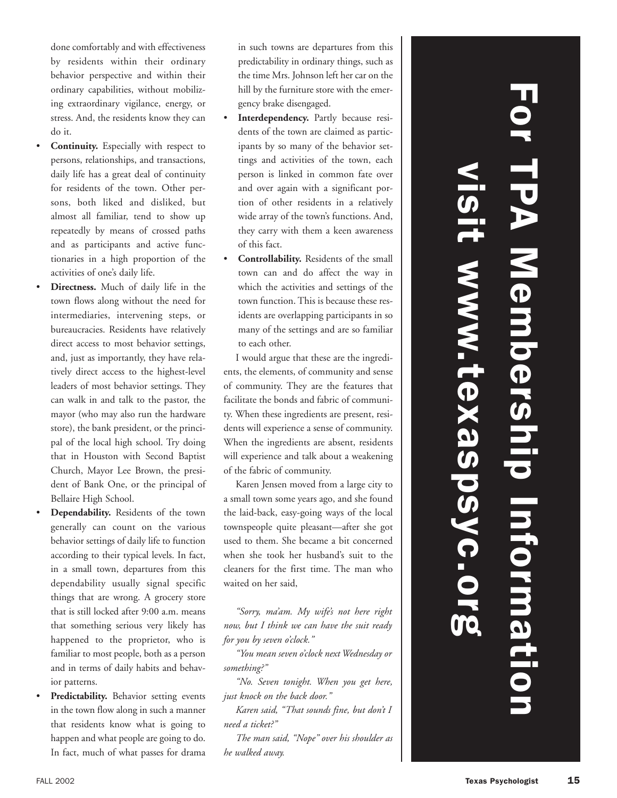done comfortably and with effectiveness by residents within their ordinary behavior perspective and within their ordinary capabilities, without mobilizing extraordinary vigilance, energy, or stress. And, the residents know they can do it.

- **Continuity.** Especially with respect to persons, relationships, and transactions, daily life has a great deal of continuity for residents of the town. Other persons, both liked and disliked, but almost all familiar, tend to show up repeatedly by means of crossed paths and as participants and active functionaries in a high proportion of the activities of one's daily life.
- **Directness.** Much of daily life in the town flows along without the need for intermediaries, intervening steps, or bureaucracies. Residents have relatively direct access to most behavior settings, and, just as importantly, they have relatively direct access to the highest-level leaders of most behavior settings. They can walk in and talk to the pastor, the mayor (who may also run the hardware store), the bank president, or the principal of the local high school. Try doing that in Houston with Second Baptist Church, Mayor Lee Brown, the president of Bank One, or the principal of Bellaire High School.
- **Dependability.** Residents of the town generally can count on the various behavior settings of daily life to function according to their typical levels. In fact, in a small town, departures from this dependability usually signal specific things that are wrong. A grocery store that is still locked after 9:00 a.m. means that something serious very likely has happened to the proprietor, who is familiar to most people, both as a person and in terms of daily habits and behavior patterns.
- Predictability. Behavior setting events in the town flow along in such a manner that residents know what is going to happen and what people are going to do. In fact, much of what passes for drama

in such towns are departures from this predictability in ordinary things, such as the time Mrs. Johnson left her car on the hill by the furniture store with the emergency brake disengaged.

- Interdependency. Partly because residents of the town are claimed as participants by so many of the behavior settings and activities of the town, each person is linked in common fate over and over again with a significant portion of other residents in a relatively wide array of the town's functions. And, they carry with them a keen awareness of this fact.
- **Controllability.** Residents of the small town can and do affect the way in which the activities and settings of the town function. This is because these residents are overlapping participants in so many of the settings and are so familiar to each other.

I would argue that these are the ingredients, the elements, of community and sense of community. They are the features that facilitate the bonds and fabric of community. When these ingredients are present, residents will experience a sense of community. When the ingredients are absent, residents will experience and talk about a weakening of the fabric of community.

Karen Jensen moved from a large city to a small town some years ago, and she found the laid-back, easy-going ways of the local townspeople quite pleasant—after she got used to them. She became a bit concerned when she took her husband's suit to the cleaners for the first time. The man who waited on her said,

*"Sorry, ma'am. My wife's not here right now, but I think we can have the suit ready for you by seven o'clock."*

*"You mean seven o'clock next Wednesday or something?"*

*"No. Seven tonight. When you get here, just knock on the back door."*

*Karen said, "That sounds fine, but don't I need a ticket?"* 

*The man said, "Nope" over his shoulder as he walked away.*

For TPAvisit www.texaspsyc.orgLPA Nemoers Membershipwww.texaspsyc.org hip Informat Information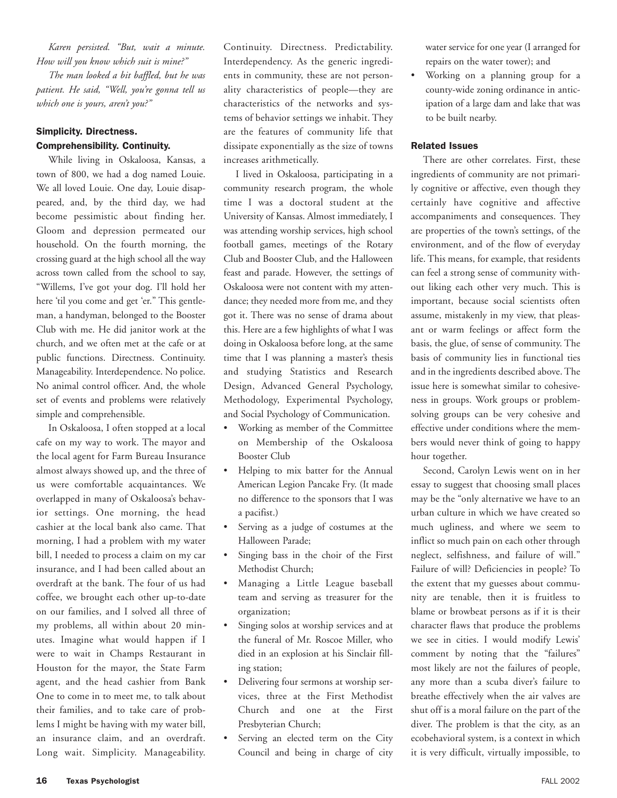*Karen persisted. "But, wait a minute. How will you know which suit is mine?"*

*The man looked a bit baffled, but he was patient. He said, "Well, you're gonna tell us which one is yours, aren't you?"*

#### Simplicity. Directness. Comprehensibility. Continuity.

While living in Oskaloosa, Kansas, a town of 800, we had a dog named Louie. We all loved Louie. One day, Louie disappeared, and, by the third day, we had become pessimistic about finding her. Gloom and depression permeated our household. On the fourth morning, the crossing guard at the high school all the way across town called from the school to say, "Willems, I've got your dog. I'll hold her here 'til you come and get 'er." This gentleman, a handyman, belonged to the Booster Club with me. He did janitor work at the church, and we often met at the cafe or at public functions. Directness. Continuity. Manageability. Interdependence. No police. No animal control officer. And, the whole set of events and problems were relatively simple and comprehensible.

In Oskaloosa, I often stopped at a local cafe on my way to work. The mayor and the local agent for Farm Bureau Insurance almost always showed up, and the three of us were comfortable acquaintances. We overlapped in many of Oskaloosa's behavior settings. One morning, the head cashier at the local bank also came. That morning, I had a problem with my water bill, I needed to process a claim on my car insurance, and I had been called about an overdraft at the bank. The four of us had coffee, we brought each other up-to-date on our families, and I solved all three of my problems, all within about 20 minutes. Imagine what would happen if I were to wait in Champs Restaurant in Houston for the mayor, the State Farm agent, and the head cashier from Bank One to come in to meet me, to talk about their families, and to take care of problems I might be having with my water bill, an insurance claim, and an overdraft. Long wait. Simplicity. Manageability.

Continuity. Directness. Predictability. Interdependency. As the generic ingredients in community, these are not personality characteristics of people—they are characteristics of the networks and systems of behavior settings we inhabit. They are the features of community life that dissipate exponentially as the size of towns increases arithmetically.

I lived in Oskaloosa, participating in a community research program, the whole time I was a doctoral student at the University of Kansas. Almost immediately, I was attending worship services, high school football games, meetings of the Rotary Club and Booster Club, and the Halloween feast and parade. However, the settings of Oskaloosa were not content with my attendance; they needed more from me, and they got it. There was no sense of drama about this. Here are a few highlights of what I was doing in Oskaloosa before long, at the same time that I was planning a master's thesis and studying Statistics and Research Design, Advanced General Psychology, Methodology, Experimental Psychology, and Social Psychology of Communication.

- Working as member of the Committee on Membership of the Oskaloosa Booster Club
- Helping to mix batter for the Annual American Legion Pancake Fry. (It made no difference to the sponsors that I was a pacifist.)
- Serving as a judge of costumes at the Halloween Parade;
- Singing bass in the choir of the First Methodist Church;
- Managing a Little League baseball team and serving as treasurer for the organization;
- Singing solos at worship services and at the funeral of Mr. Roscoe Miller, who died in an explosion at his Sinclair filling station;
- Delivering four sermons at worship services, three at the First Methodist Church and one at the First Presbyterian Church;
- Serving an elected term on the City Council and being in charge of city

water service for one year (I arranged for repairs on the water tower); and

• Working on a planning group for a county-wide zoning ordinance in anticipation of a large dam and lake that was to be built nearby.

#### Related Issues

There are other correlates. First, these ingredients of community are not primarily cognitive or affective, even though they certainly have cognitive and affective accompaniments and consequences. They are properties of the town's settings, of the environment, and of the flow of everyday life. This means, for example, that residents can feel a strong sense of community without liking each other very much. This is important, because social scientists often assume, mistakenly in my view, that pleasant or warm feelings or affect form the basis, the glue, of sense of community. The basis of community lies in functional ties and in the ingredients described above. The issue here is somewhat similar to cohesiveness in groups. Work groups or problemsolving groups can be very cohesive and effective under conditions where the members would never think of going to happy hour together.

Second, Carolyn Lewis went on in her essay to suggest that choosing small places may be the "only alternative we have to an urban culture in which we have created so much ugliness, and where we seem to inflict so much pain on each other through neglect, selfishness, and failure of will." Failure of will? Deficiencies in people? To the extent that my guesses about community are tenable, then it is fruitless to blame or browbeat persons as if it is their character flaws that produce the problems we see in cities. I would modify Lewis' comment by noting that the "failures" most likely are not the failures of people, any more than a scuba diver's failure to breathe effectively when the air valves are shut off is a moral failure on the part of the diver. The problem is that the city, as an ecobehavioral system, is a context in which it is very difficult, virtually impossible, to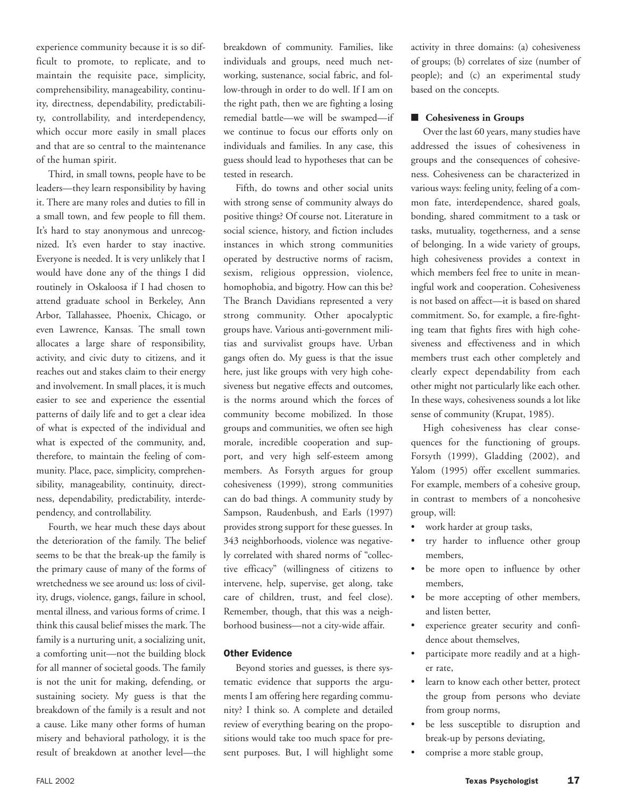experience community because it is so difficult to promote, to replicate, and to maintain the requisite pace, simplicity, comprehensibility, manageability, continuity, directness, dependability, predictability, controllability, and interdependency, which occur more easily in small places and that are so central to the maintenance of the human spirit.

Third, in small towns, people have to be leaders—they learn responsibility by having it. There are many roles and duties to fill in a small town, and few people to fill them. It's hard to stay anonymous and unrecognized. It's even harder to stay inactive. Everyone is needed. It is very unlikely that I would have done any of the things I did routinely in Oskaloosa if I had chosen to attend graduate school in Berkeley, Ann Arbor, Tallahassee, Phoenix, Chicago, or even Lawrence, Kansas. The small town allocates a large share of responsibility, activity, and civic duty to citizens, and it reaches out and stakes claim to their energy and involvement. In small places, it is much easier to see and experience the essential patterns of daily life and to get a clear idea of what is expected of the individual and what is expected of the community, and, therefore, to maintain the feeling of community. Place, pace, simplicity, comprehensibility, manageability, continuity, directness, dependability, predictability, interdependency, and controllability.

Fourth, we hear much these days about the deterioration of the family. The belief seems to be that the break-up the family is the primary cause of many of the forms of wretchedness we see around us: loss of civility, drugs, violence, gangs, failure in school, mental illness, and various forms of crime. I think this causal belief misses the mark. The family is a nurturing unit, a socializing unit, a comforting unit—not the building block for all manner of societal goods. The family is not the unit for making, defending, or sustaining society. My guess is that the breakdown of the family is a result and not a cause. Like many other forms of human misery and behavioral pathology, it is the result of breakdown at another level—the

breakdown of community. Families, like individuals and groups, need much networking, sustenance, social fabric, and follow-through in order to do well. If I am on the right path, then we are fighting a losing remedial battle—we will be swamped—if we continue to focus our efforts only on individuals and families. In any case, this guess should lead to hypotheses that can be tested in research.

Fifth, do towns and other social units with strong sense of community always do positive things? Of course not. Literature in social science, history, and fiction includes instances in which strong communities operated by destructive norms of racism, sexism, religious oppression, violence, homophobia, and bigotry. How can this be? The Branch Davidians represented a very strong community. Other apocalyptic groups have. Various anti-government militias and survivalist groups have. Urban gangs often do. My guess is that the issue here, just like groups with very high cohesiveness but negative effects and outcomes, is the norms around which the forces of community become mobilized. In those groups and communities, we often see high morale, incredible cooperation and support, and very high self-esteem among members. As Forsyth argues for group cohesiveness (1999), strong communities can do bad things. A community study by Sampson, Raudenbush, and Earls (1997) provides strong support for these guesses. In 343 neighborhoods, violence was negatively correlated with shared norms of "collective efficacy" (willingness of citizens to intervene, help, supervise, get along, take care of children, trust, and feel close). Remember, though, that this was a neighborhood business—not a city-wide affair.

#### Other Evidence

Beyond stories and guesses, is there systematic evidence that supports the arguments I am offering here regarding community? I think so. A complete and detailed review of everything bearing on the propositions would take too much space for present purposes. But, I will highlight some activity in three domains: (a) cohesiveness of groups; (b) correlates of size (number of people); and (c) an experimental study based on the concepts.

#### ■ **Cohesiveness in Groups**

Over the last 60 years, many studies have addressed the issues of cohesiveness in groups and the consequences of cohesiveness. Cohesiveness can be characterized in various ways: feeling unity, feeling of a common fate, interdependence, shared goals, bonding, shared commitment to a task or tasks, mutuality, togetherness, and a sense of belonging. In a wide variety of groups, high cohesiveness provides a context in which members feel free to unite in meaningful work and cooperation. Cohesiveness is not based on affect—it is based on shared commitment. So, for example, a fire-fighting team that fights fires with high cohesiveness and effectiveness and in which members trust each other completely and clearly expect dependability from each other might not particularly like each other. In these ways, cohesiveness sounds a lot like sense of community (Krupat, 1985).

High cohesiveness has clear consequences for the functioning of groups. Forsyth (1999), Gladding (2002), and Yalom (1995) offer excellent summaries. For example, members of a cohesive group, in contrast to members of a noncohesive group, will:

- work harder at group tasks,
- try harder to influence other group members,
- be more open to influence by other members,
- be more accepting of other members, and listen better,
- experience greater security and confidence about themselves,
- participate more readily and at a higher rate,
- learn to know each other better, protect the group from persons who deviate from group norms,
- be less susceptible to disruption and break-up by persons deviating,
- comprise a more stable group,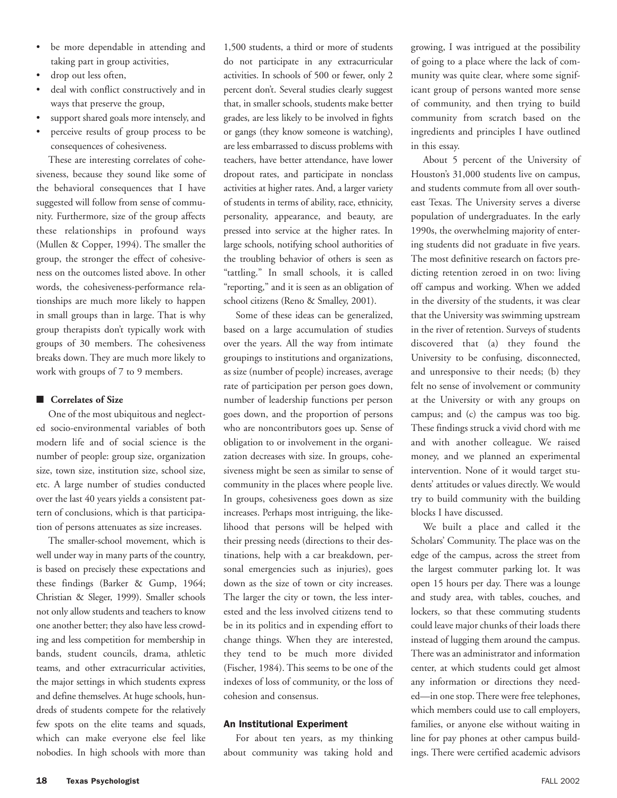- be more dependable in attending and taking part in group activities,
- drop out less often,
- deal with conflict constructively and in ways that preserve the group,
- support shared goals more intensely, and
- perceive results of group process to be consequences of cohesiveness.

These are interesting correlates of cohesiveness, because they sound like some of the behavioral consequences that I have suggested will follow from sense of community. Furthermore, size of the group affects these relationships in profound ways (Mullen & Copper, 1994). The smaller the group, the stronger the effect of cohesiveness on the outcomes listed above. In other words, the cohesiveness-performance relationships are much more likely to happen in small groups than in large. That is why group therapists don't typically work with groups of 30 members. The cohesiveness breaks down. They are much more likely to work with groups of 7 to 9 members.

#### ■ **Correlates of Size**

One of the most ubiquitous and neglected socio-environmental variables of both modern life and of social science is the number of people: group size, organization size, town size, institution size, school size, etc. A large number of studies conducted over the last 40 years yields a consistent pattern of conclusions, which is that participation of persons attenuates as size increases.

The smaller-school movement, which is well under way in many parts of the country, is based on precisely these expectations and these findings (Barker & Gump, 1964; Christian & Sleger, 1999). Smaller schools not only allow students and teachers to know one another better; they also have less crowding and less competition for membership in bands, student councils, drama, athletic teams, and other extracurricular activities, the major settings in which students express and define themselves. At huge schools, hundreds of students compete for the relatively few spots on the elite teams and squads, which can make everyone else feel like nobodies. In high schools with more than

1,500 students, a third or more of students do not participate in any extracurricular activities. In schools of 500 or fewer, only 2 percent don't. Several studies clearly suggest that, in smaller schools, students make better grades, are less likely to be involved in fights or gangs (they know someone is watching), are less embarrassed to discuss problems with teachers, have better attendance, have lower dropout rates, and participate in nonclass activities at higher rates. And, a larger variety of students in terms of ability, race, ethnicity, personality, appearance, and beauty, are pressed into service at the higher rates. In large schools, notifying school authorities of the troubling behavior of others is seen as "tattling." In small schools, it is called "reporting," and it is seen as an obligation of school citizens (Reno & Smalley, 2001).

Some of these ideas can be generalized, based on a large accumulation of studies over the years. All the way from intimate groupings to institutions and organizations, as size (number of people) increases, average rate of participation per person goes down, number of leadership functions per person goes down, and the proportion of persons who are noncontributors goes up. Sense of obligation to or involvement in the organization decreases with size. In groups, cohesiveness might be seen as similar to sense of community in the places where people live. In groups, cohesiveness goes down as size increases. Perhaps most intriguing, the likelihood that persons will be helped with their pressing needs (directions to their destinations, help with a car breakdown, personal emergencies such as injuries), goes down as the size of town or city increases. The larger the city or town, the less interested and the less involved citizens tend to be in its politics and in expending effort to change things. When they are interested, they tend to be much more divided (Fischer, 1984). This seems to be one of the indexes of loss of community, or the loss of cohesion and consensus.

#### An Institutional Experiment

For about ten years, as my thinking about community was taking hold and

growing, I was intrigued at the possibility of going to a place where the lack of community was quite clear, where some significant group of persons wanted more sense of community, and then trying to build community from scratch based on the ingredients and principles I have outlined in this essay.

About 5 percent of the University of Houston's 31,000 students live on campus, and students commute from all over southeast Texas. The University serves a diverse population of undergraduates. In the early 1990s, the overwhelming majority of entering students did not graduate in five years. The most definitive research on factors predicting retention zeroed in on two: living off campus and working. When we added in the diversity of the students, it was clear that the University was swimming upstream in the river of retention. Surveys of students discovered that (a) they found the University to be confusing, disconnected, and unresponsive to their needs; (b) they felt no sense of involvement or community at the University or with any groups on campus; and (c) the campus was too big. These findings struck a vivid chord with me and with another colleague. We raised money, and we planned an experimental intervention. None of it would target students' attitudes or values directly. We would try to build community with the building blocks I have discussed.

We built a place and called it the Scholars' Community. The place was on the edge of the campus, across the street from the largest commuter parking lot. It was open 15 hours per day. There was a lounge and study area, with tables, couches, and lockers, so that these commuting students could leave major chunks of their loads there instead of lugging them around the campus. There was an administrator and information center, at which students could get almost any information or directions they needed—in one stop. There were free telephones, which members could use to call employers, families, or anyone else without waiting in line for pay phones at other campus buildings. There were certified academic advisors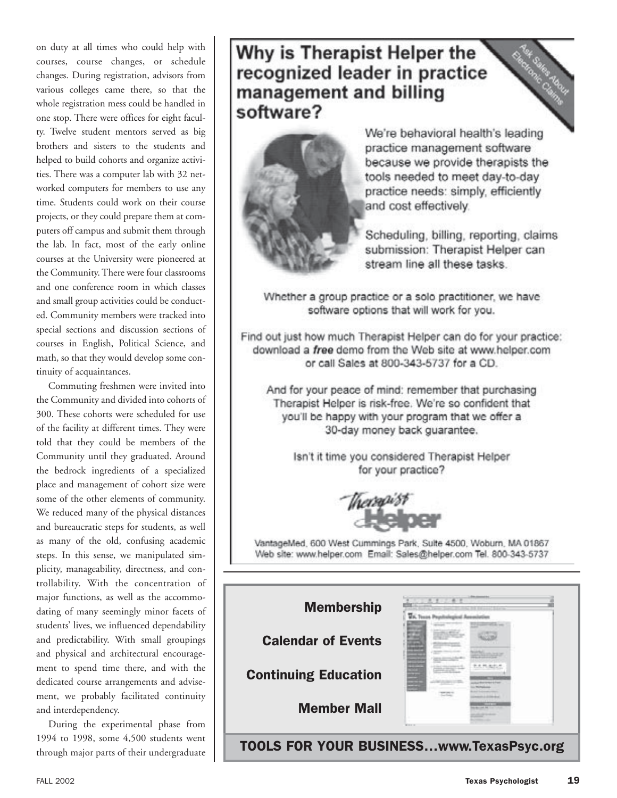on duty at all times who could help with courses, course changes, or schedule changes. During registration, advisors from various colleges came there, so that the whole registration mess could be handled in one stop. There were offices for eight faculty. Twelve student mentors served as big brothers and sisters to the students and helped to build cohorts and organize activities. There was a computer lab with 32 networked computers for members to use any time. Students could work on their course projects, or they could prepare them at computers off campus and submit them through the lab. In fact, most of the early online courses at the University were pioneered at the Community. There were four classrooms and one conference room in which classes and small group activities could be conducted. Community members were tracked into special sections and discussion sections of courses in English, Political Science, and math, so that they would develop some continuity of acquaintances.

Commuting freshmen were invited into the Community and divided into cohorts of 300. These cohorts were scheduled for use of the facility at different times. They were told that they could be members of the Community until they graduated. Around the bedrock ingredients of a specialized place and management of cohort size were some of the other elements of community. We reduced many of the physical distances and bureaucratic steps for students, as well as many of the old, confusing academic steps. In this sense, we manipulated simplicity, manageability, directness, and controllability. With the concentration of major functions, as well as the accommodating of many seemingly minor facets of students' lives, we influenced dependability and predictability. With small groupings and physical and architectural encouragement to spend time there, and with the dedicated course arrangements and advisement, we probably facilitated continuity and interdependency.

During the experimental phase from 1994 to 1998, some 4,500 students went through major parts of their undergraduate

### Why is Therapist Helper the recognized leader in practice management and billing software?



We're behavioral health's leading practice management software because we provide therapists the tools needed to meet day-to-day practice needs: simply, efficiently and cost effectively.

Scheduling, billing, reporting, claims submission: Therapist Helper can stream line all these tasks.

Whether a group practice or a solo practitioner, we have software options that will work for you.

Find out just how much Therapist Helper can do for your practice: download a free demo from the Web site at www.helper.com or call Sales at 800-343-5737 for a CD.

And for your peace of mind: remember that purchasing Therapist Helper is risk-free. We're so confident that you'll be happy with your program that we offer a 30-day money back guarantee.

Isn't it time you considered Therapist Helper for your practice?



VantageMed, 600 West Cummings Park, Suite 4500, Woburn, MA 01867 Web site: www.helper.com Email: Sales@helper.com Tel. 800-343-5737

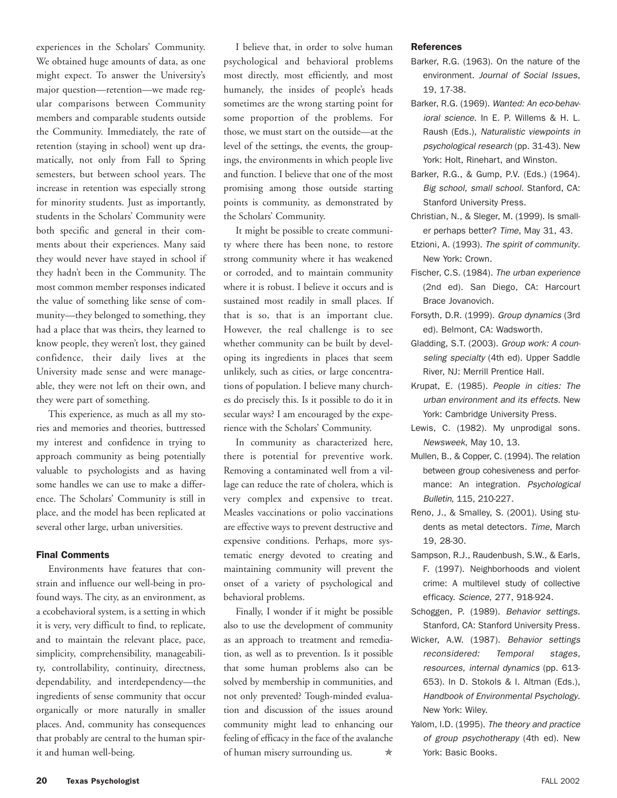experiences in the Scholars' Community. We obtained huge amounts of data, as one might expect. To answer the University's major question—retention—we made regular comparisons between Community members and comparable students outside the Community. Immediately, the rate of retention (staying in school) went up dramatically, not only from Fall to Spring semesters, but between school years. The increase in retention was especially strong for minority students. Just as importantly, students in the Scholars' Community were both specific and general in their comments about their experiences. Many said they would never have stayed in school if they hadn't been in the Community. The most common member responses indicated the value of something like sense of community—they belonged to something, they had a place that was theirs, they learned to know people, they weren't lost, they gained confidence, their daily lives at the University made sense and were manageable, they were not left on their own, and they were part of something.

This experience, as much as all my stories and memories and theories, buttressed my interest and confidence in trying to approach community as being potentially valuable to psychologists and as having some handles we can use to make a difference. The Scholars' Community is still in place, and the model has been replicated at several other large, urban universities.

#### Final Comments

Environments have features that constrain and influence our well-being in profound ways. The city, as an environment, as a ecobehavioral system, is a setting in which it is very, very difficult to find, to replicate, and to maintain the relevant place, pace, simplicity, comprehensibility, manageability, controllability, continuity, directness, dependability, and interdependency—the ingredients of sense community that occur organically or more naturally in smaller places. And, community has consequences that probably are central to the human spirit and human well-being.

I believe that, in order to solve human psychological and behavioral problems most directly, most efficiently, and most humanely, the insides of people's heads sometimes are the wrong starting point for some proportion of the problems. For those, we must start on the outside—at the level of the settings, the events, the groupings, the environments in which people live and function. I believe that one of the most promising among those outside starting points is community, as demonstrated by the Scholars' Community.

It might be possible to create community where there has been none, to restore strong community where it has weakened or corroded, and to maintain community where it is robust. I believe it occurs and is sustained most readily in small places. If that is so, that is an important clue. However, the real challenge is to see whether community can be built by developing its ingredients in places that seem unlikely, such as cities, or large concentrations of population. I believe many churches do precisely this. Is it possible to do it in secular ways? I am encouraged by the experience with the Scholars' Community.

In community as characterized here, there is potential for preventive work. Removing a contaminated well from a village can reduce the rate of cholera, which is very complex and expensive to treat. Measles vaccinations or polio vaccinations are effective ways to prevent destructive and expensive conditions. Perhaps, more systematic energy devoted to creating and maintaining community will prevent the onset of a variety of psychological and behavioral problems.

Finally, I wonder if it might be possible also to use the development of community as an approach to treatment and remediation, as well as to prevention. Is it possible that some human problems also can be solved by membership in communities, and not only prevented? Tough-minded evaluation and discussion of the issues around community might lead to enhancing our feeling of efficacy in the face of the avalanche of human misery surrounding us.  $\star$ 

#### References

- Barker, R.G. (1963). On the nature of the environment. Journal of Social Issues, 19, 17-38.
- Barker, R.G. (1969). Wanted: An eco-behavioral science. In E. P. Willems & H. L. Raush (Eds.), Naturalistic viewpoints in psychological research (pp. 31-43). New York: Holt, Rinehart, and Winston.
- Barker, R.G., & Gump, P.V. (Eds.) (1964). Big school, small school. Stanford, CA: Stanford University Press.
- Christian, N., & Sleger, M. (1999). Is smaller perhaps better? Time, May 31, 43.
- Etzioni, A. (1993). The spirit of community. New York: Crown.
- Fischer, C.S. (1984). The urban experience (2nd ed). San Diego, CA: Harcourt Brace Jovanovich.
- Forsyth, D.R. (1999). Group dynamics (3rd ed). Belmont, CA: Wadsworth.
- Gladding, S.T. (2003). Group work: A counseling specialty (4th ed). Upper Saddle River, NJ: Merrill Prentice Hall.
- Krupat, E. (1985). People in cities: The urban environment and its effects. New York: Cambridge University Press.
- Lewis, C. (1982). My unprodigal sons. Newsweek, May 10, 13.
- Mullen, B., & Copper, C. (1994). The relation between group cohesiveness and performance: An integration. Psychological Bulletin, 115, 210-227.
- Reno, J., & Smalley, S. (2001). Using students as metal detectors. Time, March 19, 28-30.
- Sampson, R.J., Raudenbush, S.W., & Earls, F. (1997). Neighborhoods and violent crime: A multilevel study of collective efficacy. Science, 277, 918-924.
- Schoggen, P. (1989). Behavior settings. Stanford, CA: Stanford University Press.
- Wicker, A.W. (1987). Behavior settings reconsidered: Temporal stages, resources, internal dynamics (pp. 613- 653). In D. Stokols & I. Altman (Eds.), Handbook of Environmental Psychology. New York: Wiley.
- Yalom, I.D. (1995). The theory and practice of group psychotherapy (4th ed). New York: Basic Books.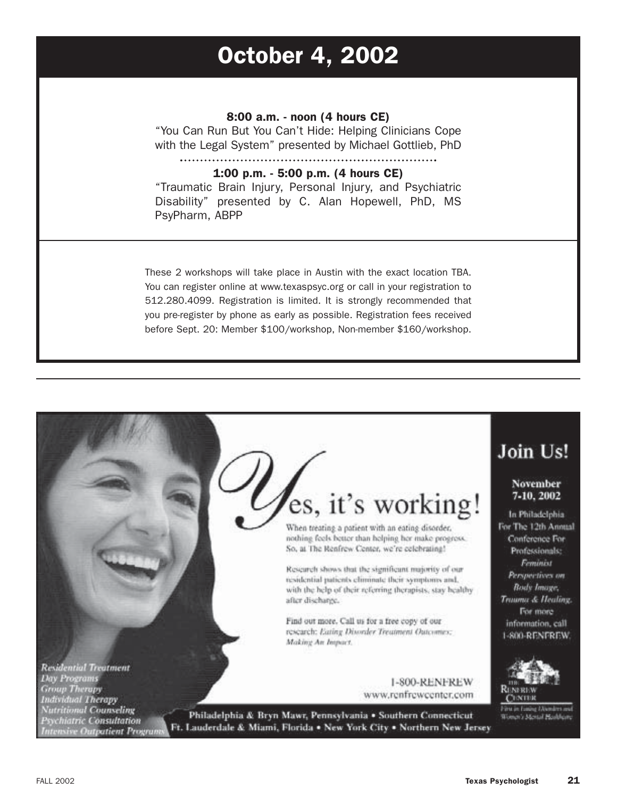# October 4, 2002

#### 8:00 a.m. - noon (4 hours CE)

"You Can Run But You Can't Hide: Helping Clinicians Cope with the Legal System" presented by Michael Gottlieb, PhD

1:00 p.m. - 5:00 p.m. (4 hours CE) "Traumatic Brain Injury, Personal Injury, and Psychiatric Disability" presented by C. Alan Hopewell, PhD, MS PsyPharm, ABPP

These 2 workshops will take place in Austin with the exact location TBA. You can register online at www.texaspsyc.org or call in your registration to 512.280.4099. Registration is limited. It is strongly recommended that you pre-register by phone as early as possible. Registration fees received before Sept. 20: Member \$100/workshop, Non-member \$160/workshop.

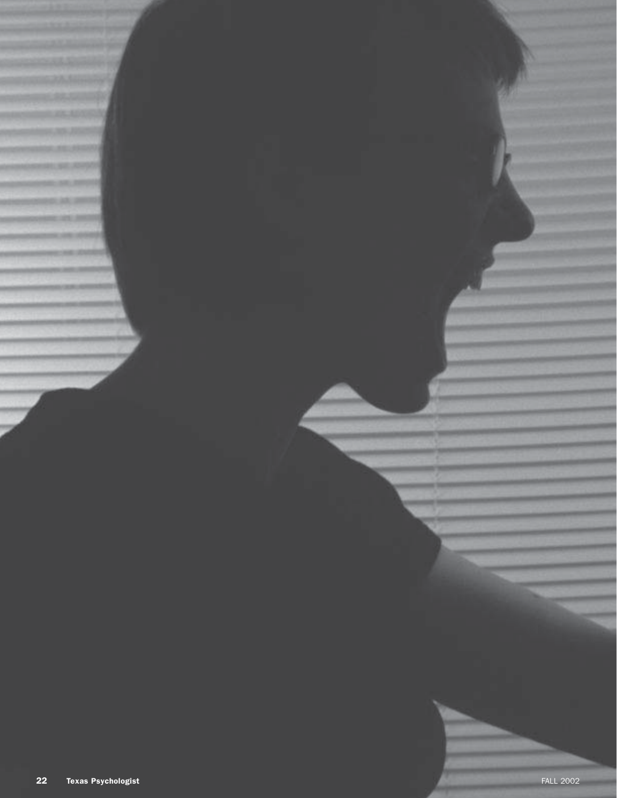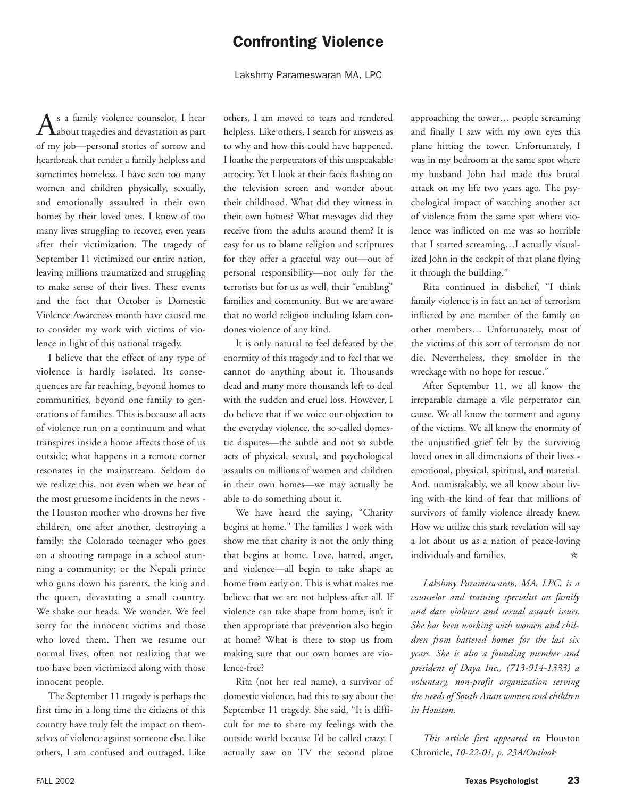### Confronting Violence

#### Lakshmy Parameswaran MA, LPC

As a family violence counselor, I hear<br>about tragedies and devastation as part of my job—personal stories of sorrow and heartbreak that render a family helpless and sometimes homeless. I have seen too many women and children physically, sexually, and emotionally assaulted in their own homes by their loved ones. I know of too many lives struggling to recover, even years after their victimization. The tragedy of September 11 victimized our entire nation, leaving millions traumatized and struggling to make sense of their lives. These events and the fact that October is Domestic Violence Awareness month have caused me to consider my work with victims of violence in light of this national tragedy.

I believe that the effect of any type of violence is hardly isolated. Its consequences are far reaching, beyond homes to communities, beyond one family to generations of families. This is because all acts of violence run on a continuum and what transpires inside a home affects those of us outside; what happens in a remote corner resonates in the mainstream. Seldom do we realize this, not even when we hear of the most gruesome incidents in the news the Houston mother who drowns her five children, one after another, destroying a family; the Colorado teenager who goes on a shooting rampage in a school stunning a community; or the Nepali prince who guns down his parents, the king and the queen, devastating a small country. We shake our heads. We wonder. We feel sorry for the innocent victims and those who loved them. Then we resume our normal lives, often not realizing that we too have been victimized along with those innocent people.

The September 11 tragedy is perhaps the first time in a long time the citizens of this country have truly felt the impact on themselves of violence against someone else. Like others, I am confused and outraged. Like

others, I am moved to tears and rendered helpless. Like others, I search for answers as to why and how this could have happened. I loathe the perpetrators of this unspeakable atrocity. Yet I look at their faces flashing on the television screen and wonder about their childhood. What did they witness in their own homes? What messages did they receive from the adults around them? It is easy for us to blame religion and scriptures for they offer a graceful way out—out of personal responsibility—not only for the terrorists but for us as well, their "enabling" families and community. But we are aware that no world religion including Islam condones violence of any kind.

It is only natural to feel defeated by the enormity of this tragedy and to feel that we cannot do anything about it. Thousands dead and many more thousands left to deal with the sudden and cruel loss. However, I do believe that if we voice our objection to the everyday violence, the so-called domestic disputes—the subtle and not so subtle acts of physical, sexual, and psychological assaults on millions of women and children in their own homes—we may actually be able to do something about it.

We have heard the saying, "Charity begins at home." The families I work with show me that charity is not the only thing that begins at home. Love, hatred, anger, and violence—all begin to take shape at home from early on. This is what makes me believe that we are not helpless after all. If violence can take shape from home, isn't it then appropriate that prevention also begin at home? What is there to stop us from making sure that our own homes are violence-free?

Rita (not her real name), a survivor of domestic violence, had this to say about the September 11 tragedy. She said, "It is difficult for me to share my feelings with the outside world because I'd be called crazy. I actually saw on TV the second plane approaching the tower… people screaming and finally I saw with my own eyes this plane hitting the tower. Unfortunately, I was in my bedroom at the same spot where my husband John had made this brutal attack on my life two years ago. The psychological impact of watching another act of violence from the same spot where violence was inflicted on me was so horrible that I started screaming…I actually visualized John in the cockpit of that plane flying it through the building."

Rita continued in disbelief, "I think family violence is in fact an act of terrorism inflicted by one member of the family on other members… Unfortunately, most of the victims of this sort of terrorism do not die. Nevertheless, they smolder in the wreckage with no hope for rescue."

After September 11, we all know the irreparable damage a vile perpetrator can cause. We all know the torment and agony of the victims. We all know the enormity of the unjustified grief felt by the surviving loved ones in all dimensions of their lives emotional, physical, spiritual, and material. And, unmistakably, we all know about living with the kind of fear that millions of survivors of family violence already knew. How we utilize this stark revelation will say a lot about us as a nation of peace-loving individuals and families.  $\star$ 

*Lakshmy Parameswaran, MA, LPC, is a counselor and training specialist on family and date violence and sexual assault issues. She has been working with women and children from battered homes for the last six years. She is also a founding member and president of Daya Inc., (713-914-1333) a voluntary, non-profit organization serving the needs of South Asian women and children in Houston.*

*This article first appeared in* Houston Chronicle, *10-22-01, p. 23A/Outlook*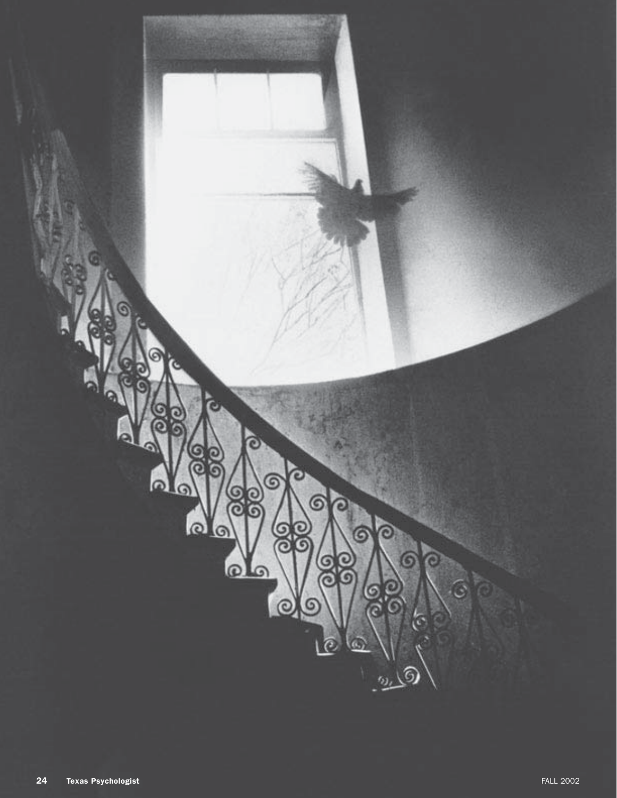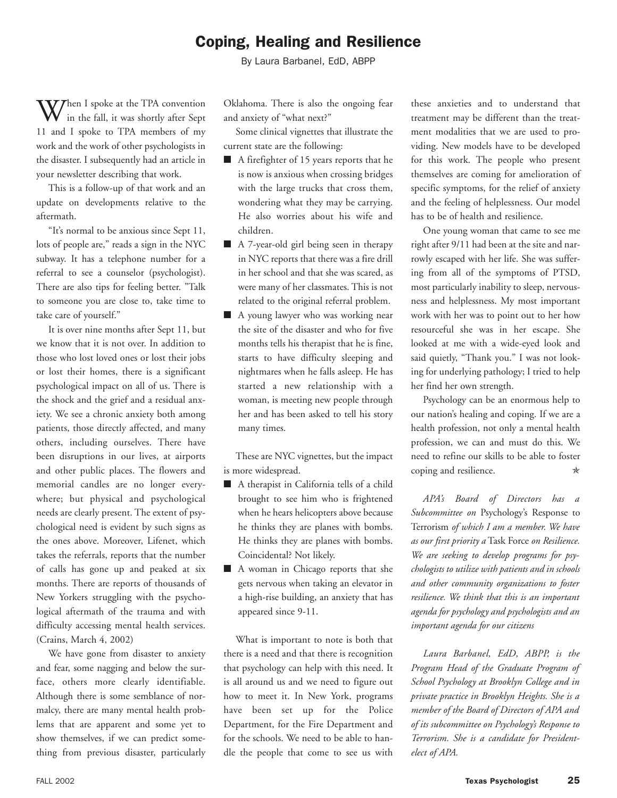### Coping, Healing and Resilience

By Laura Barbanel, EdD, ABPP

W7hen I spoke at the TPA convention in the fall, it was shortly after Sept 11 and I spoke to TPA members of my work and the work of other psychologists in the disaster. I subsequently had an article in your newsletter describing that work.

This is a follow-up of that work and an update on developments relative to the aftermath.

"It's normal to be anxious since Sept 11, lots of people are," reads a sign in the NYC subway. It has a telephone number for a referral to see a counselor (psychologist). There are also tips for feeling better. "Talk to someone you are close to, take time to take care of yourself."

It is over nine months after Sept 11, but we know that it is not over. In addition to those who lost loved ones or lost their jobs or lost their homes, there is a significant psychological impact on all of us. There is the shock and the grief and a residual anxiety. We see a chronic anxiety both among patients, those directly affected, and many others, including ourselves. There have been disruptions in our lives, at airports and other public places. The flowers and memorial candles are no longer everywhere; but physical and psychological needs are clearly present. The extent of psychological need is evident by such signs as the ones above. Moreover, Lifenet, which takes the referrals, reports that the number of calls has gone up and peaked at six months. There are reports of thousands of New Yorkers struggling with the psychological aftermath of the trauma and with difficulty accessing mental health services. (Crains, March 4, 2002)

We have gone from disaster to anxiety and fear, some nagging and below the surface, others more clearly identifiable. Although there is some semblance of normalcy, there are many mental health problems that are apparent and some yet to show themselves, if we can predict something from previous disaster, particularly Oklahoma. There is also the ongoing fear and anxiety of "what next?"

Some clinical vignettes that illustrate the current state are the following:

- A firefighter of 15 years reports that he is now is anxious when crossing bridges with the large trucks that cross them, wondering what they may be carrying. He also worries about his wife and children.
- A 7-year-old girl being seen in therapy in NYC reports that there was a fire drill in her school and that she was scared, as were many of her classmates. This is not related to the original referral problem.
- A young lawyer who was working near the site of the disaster and who for five months tells his therapist that he is fine, starts to have difficulty sleeping and nightmares when he falls asleep. He has started a new relationship with a woman, is meeting new people through her and has been asked to tell his story many times.

These are NYC vignettes, but the impact is more widespread.

- A therapist in California tells of a child brought to see him who is frightened when he hears helicopters above because he thinks they are planes with bombs. He thinks they are planes with bombs. Coincidental? Not likely.
- A woman in Chicago reports that she gets nervous when taking an elevator in a high-rise building, an anxiety that has appeared since 9-11.

What is important to note is both that there is a need and that there is recognition that psychology can help with this need. It is all around us and we need to figure out how to meet it. In New York, programs have been set up for the Police Department, for the Fire Department and for the schools. We need to be able to handle the people that come to see us with these anxieties and to understand that treatment may be different than the treatment modalities that we are used to providing. New models have to be developed for this work. The people who present themselves are coming for amelioration of specific symptoms, for the relief of anxiety and the feeling of helplessness. Our model has to be of health and resilience.

One young woman that came to see me right after 9/11 had been at the site and narrowly escaped with her life. She was suffering from all of the symptoms of PTSD, most particularly inability to sleep, nervousness and helplessness. My most important work with her was to point out to her how resourceful she was in her escape. She looked at me with a wide-eyed look and said quietly, "Thank you." I was not looking for underlying pathology; I tried to help her find her own strength.

Psychology can be an enormous help to our nation's healing and coping. If we are a health profession, not only a mental health profession, we can and must do this. We need to refine our skills to be able to foster coping and resilience.  $\star$ 

*APA's Board of Directors has a Subcommittee on* Psychology's Response to Terrorism *of which I am a member. We have as our first priority a* Task Force *on Resilience. We are seeking to develop programs for psychologists to utilize with patients and in schools and other community organizations to foster resilience. We think that this is an important agenda for psychology and psychologists and an important agenda for our citizens*

*Laura Barbanel, EdD, ABPP, is the Program Head of the Graduate Program of School Psychology at Brooklyn College and in private practice in Brooklyn Heights. She is a member of the Board of Directors of APA and of its subcommittee on Psychology's Response to Terrorism. She is a candidate for Presidentelect of APA.*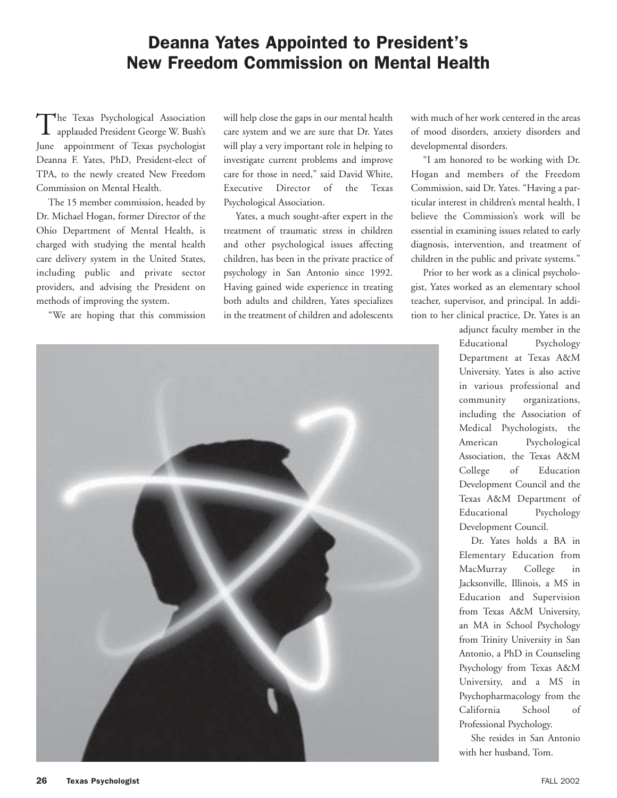### Deanna Yates Appointed to President's New Freedom Commission on Mental Health

The Texas Psychological Association<br>applauded President George W. Bush's June appointment of Texas psychologist Deanna F. Yates, PhD, President-elect of TPA, to the newly created New Freedom Commission on Mental Health.

The 15 member commission, headed by Dr. Michael Hogan, former Director of the Ohio Department of Mental Health, is charged with studying the mental health care delivery system in the United States, including public and private sector providers, and advising the President on methods of improving the system.

"We are hoping that this commission

will help close the gaps in our mental health care system and we are sure that Dr. Yates will play a very important role in helping to investigate current problems and improve care for those in need," said David White, Executive Director of the Texas Psychological Association.

Yates, a much sought-after expert in the treatment of traumatic stress in children and other psychological issues affecting children, has been in the private practice of psychology in San Antonio since 1992. Having gained wide experience in treating both adults and children, Yates specializes in the treatment of children and adolescents with much of her work centered in the areas of mood disorders, anxiety disorders and developmental disorders.

"I am honored to be working with Dr. Hogan and members of the Freedom Commission, said Dr. Yates. "Having a particular interest in children's mental health, I believe the Commission's work will be essential in examining issues related to early diagnosis, intervention, and treatment of children in the public and private systems."

Prior to her work as a clinical psychologist, Yates worked as an elementary school teacher, supervisor, and principal. In addition to her clinical practice, Dr. Yates is an

> adjunct faculty member in the Educational Psychology Department at Texas A&M University. Yates is also active in various professional and community organizations, including the Association of Medical Psychologists, the American Psychological Association, the Texas A&M College of Education Development Council and the Texas A&M Department of Educational Psychology Development Council.

Dr. Yates holds a BA in Elementary Education from MacMurray College in Jacksonville, Illinois, a MS in Education and Supervision from Texas A&M University, an MA in School Psychology from Trinity University in San Antonio, a PhD in Counseling Psychology from Texas A&M University, and a MS in Psychopharmacology from the California School of Professional Psychology.

She resides in San Antonio with her husband, Tom.

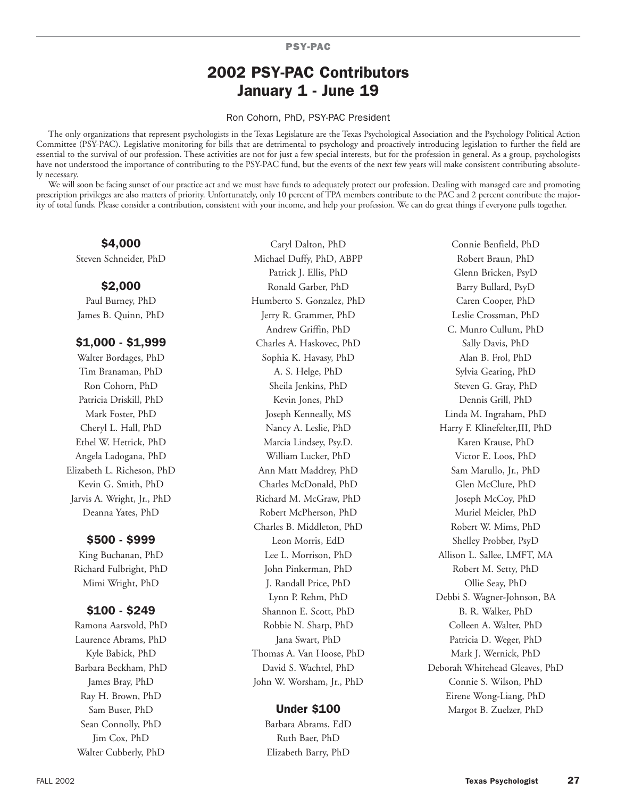#### PSY-PAC

### 2002 PSY-PAC Contributors January 1 - June 19

Ron Cohorn, PhD, PSY-PAC President

The only organizations that represent psychologists in the Texas Legislature are the Texas Psychological Association and the Psychology Political Action Committee (PSY-PAC). Legislative monitoring for bills that are detrimental to psychology and proactively introducing legislation to further the field are essential to the survival of our profession. These activities are not for just a few special interests, but for the profession in general. As a group, psychologists have not understood the importance of contributing to the PSY-PAC fund, but the events of the next few years will make consistent contributing absolutely necessary.

We will soon be facing sunset of our practice act and we must have funds to adequately protect our profession. Dealing with managed care and promoting prescription privileges are also matters of priority. Unfortunately, only 10 percent of TPA members contribute to the PAC and 2 percent contribute the majority of total funds. Please consider a contribution, consistent with your income, and help your profession. We can do great things if everyone pulls together.

\$4,000

Steven Schneider, PhD

#### \$2,000

Paul Burney, PhD James B. Quinn, PhD

#### \$1,000 - \$1,999

Walter Bordages, PhD Tim Branaman, PhD Ron Cohorn, PhD Patricia Driskill, PhD Mark Foster, PhD Cheryl L. Hall, PhD Ethel W. Hetrick, PhD Angela Ladogana, PhD Elizabeth L. Richeson, PhD Kevin G. Smith, PhD Jarvis A. Wright, Jr., PhD Deanna Yates, PhD

#### \$500 - \$999

King Buchanan, PhD Richard Fulbright, PhD Mimi Wright, PhD

#### \$100 - \$249

Ramona Aarsvold, PhD Laurence Abrams, PhD Kyle Babick, PhD Barbara Beckham, PhD James Bray, PhD Ray H. Brown, PhD Sam Buser, PhD Sean Connolly, PhD Jim Cox, PhD Walter Cubberly, PhD

Caryl Dalton, PhD Michael Duffy, PhD, ABPP Patrick J. Ellis, PhD Ronald Garber, PhD Humberto S. Gonzalez, PhD Jerry R. Grammer, PhD Andrew Griffin, PhD Charles A. Haskovec, PhD Sophia K. Havasy, PhD A. S. Helge, PhD Sheila Jenkins, PhD Kevin Jones, PhD Joseph Kenneally, MS Nancy A. Leslie, PhD Marcia Lindsey, Psy.D. William Lucker, PhD Ann Matt Maddrey, PhD Charles McDonald, PhD Richard M. McGraw, PhD Robert McPherson, PhD Charles B. Middleton, PhD Leon Morris, EdD Lee L. Morrison, PhD John Pinkerman, PhD J. Randall Price, PhD Lynn P. Rehm, PhD Shannon E. Scott, PhD Robbie N. Sharp, PhD Jana Swart, PhD Thomas A. Van Hoose, PhD David S. Wachtel, PhD John W. Worsham, Jr., PhD

#### Under \$100

Barbara Abrams, EdD Ruth Baer, PhD Elizabeth Barry, PhD

Connie Benfield, PhD Robert Braun, PhD Glenn Bricken, PsyD Barry Bullard, PsyD Caren Cooper, PhD Leslie Crossman, PhD C. Munro Cullum, PhD Sally Davis, PhD Alan B. Frol, PhD Sylvia Gearing, PhD Steven G. Gray, PhD Dennis Grill, PhD Linda M. Ingraham, PhD Harry F. Klinefelter,III, PhD Karen Krause, PhD Victor E. Loos, PhD Sam Marullo, Jr., PhD Glen McClure, PhD Joseph McCoy, PhD Muriel Meicler, PhD Robert W. Mims, PhD Shelley Probber, PsyD Allison L. Sallee, LMFT, MA Robert M. Setty, PhD Ollie Seay, PhD Debbi S. Wagner-Johnson, BA B. R. Walker, PhD Colleen A. Walter, PhD Patricia D. Weger, PhD Mark J. Wernick, PhD Deborah Whitehead Gleaves, PhD Connie S. Wilson, PhD Eirene Wong-Liang, PhD Margot B. Zuelzer, PhD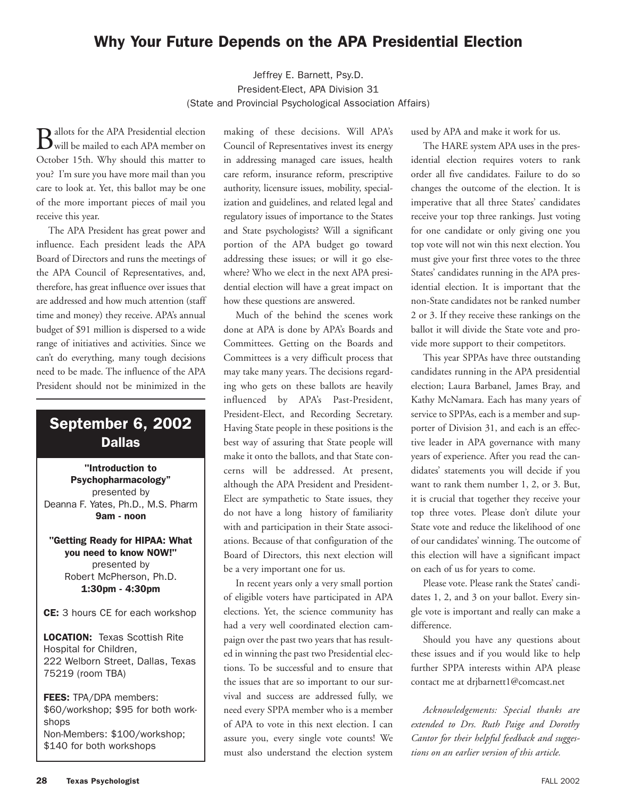### Why Your Future Depends on the APA Presidential Election

Jeffrey E. Barnett, Psy.D. President-Elect, APA Division 31 (State and Provincial Psychological Association Affairs)

**B** allots for the APA Presidential election<br>will be mailed to each APA member on October 15th. Why should this matter to you? I'm sure you have more mail than you care to look at. Yet, this ballot may be one of the more important pieces of mail you receive this year.

The APA President has great power and influence. Each president leads the APA Board of Directors and runs the meetings of the APA Council of Representatives, and, therefore, has great influence over issues that are addressed and how much attention (staff time and money) they receive. APA's annual budget of \$91 million is dispersed to a wide range of initiatives and activities. Since we can't do everything, many tough decisions need to be made. The influence of the APA President should not be minimized in the

### September 6, 2002 Dallas

"Introduction to Psychopharmacology" presented by Deanna F. Yates, Ph.D., M.S. Pharm 9am - noon

"Getting Ready for HIPAA: What you need to know NOW!" presented by Robert McPherson, Ph.D. 1:30pm - 4:30pm

**CE:** 3 hours CE for each workshop

LOCATION: Texas Scottish Rite Hospital for Children, 222 Welborn Street, Dallas, Texas 75219 (room TBA)

FEES: TPA/DPA members: \$60/workshop; \$95 for both workshops Non-Members: \$100/workshop; \$140 for both workshops

making of these decisions. Will APA's Council of Representatives invest its energy in addressing managed care issues, health care reform, insurance reform, prescriptive authority, licensure issues, mobility, specialization and guidelines, and related legal and regulatory issues of importance to the States and State psychologists? Will a significant portion of the APA budget go toward addressing these issues; or will it go elsewhere? Who we elect in the next APA presidential election will have a great impact on how these questions are answered.

Much of the behind the scenes work done at APA is done by APA's Boards and Committees. Getting on the Boards and Committees is a very difficult process that may take many years. The decisions regarding who gets on these ballots are heavily influenced by APA's Past-President, President-Elect, and Recording Secretary. Having State people in these positions is the best way of assuring that State people will make it onto the ballots, and that State concerns will be addressed. At present, although the APA President and President-Elect are sympathetic to State issues, they do not have a long history of familiarity with and participation in their State associations. Because of that configuration of the Board of Directors, this next election will be a very important one for us.

In recent years only a very small portion of eligible voters have participated in APA elections. Yet, the science community has had a very well coordinated election campaign over the past two years that has resulted in winning the past two Presidential elections. To be successful and to ensure that the issues that are so important to our survival and success are addressed fully, we need every SPPA member who is a member of APA to vote in this next election. I can assure you, every single vote counts! We must also understand the election system

used by APA and make it work for us.

The HARE system APA uses in the presidential election requires voters to rank order all five candidates. Failure to do so changes the outcome of the election. It is imperative that all three States' candidates receive your top three rankings. Just voting for one candidate or only giving one you top vote will not win this next election. You must give your first three votes to the three States' candidates running in the APA presidential election. It is important that the non-State candidates not be ranked number 2 or 3. If they receive these rankings on the ballot it will divide the State vote and provide more support to their competitors.

This year SPPAs have three outstanding candidates running in the APA presidential election; Laura Barbanel, James Bray, and Kathy McNamara. Each has many years of service to SPPAs, each is a member and supporter of Division 31, and each is an effective leader in APA governance with many years of experience. After you read the candidates' statements you will decide if you want to rank them number 1, 2, or 3. But, it is crucial that together they receive your top three votes. Please don't dilute your State vote and reduce the likelihood of one of our candidates' winning. The outcome of this election will have a significant impact on each of us for years to come.

Please vote. Please rank the States' candidates 1, 2, and 3 on your ballot. Every single vote is important and really can make a difference.

Should you have any questions about these issues and if you would like to help further SPPA interests within APA please contact me at drjbarnett1@comcast.net

*Acknowledgements: Special thanks are extended to Drs. Ruth Paige and Dorothy Cantor for their helpful feedback and suggestions on an earlier version of this article.*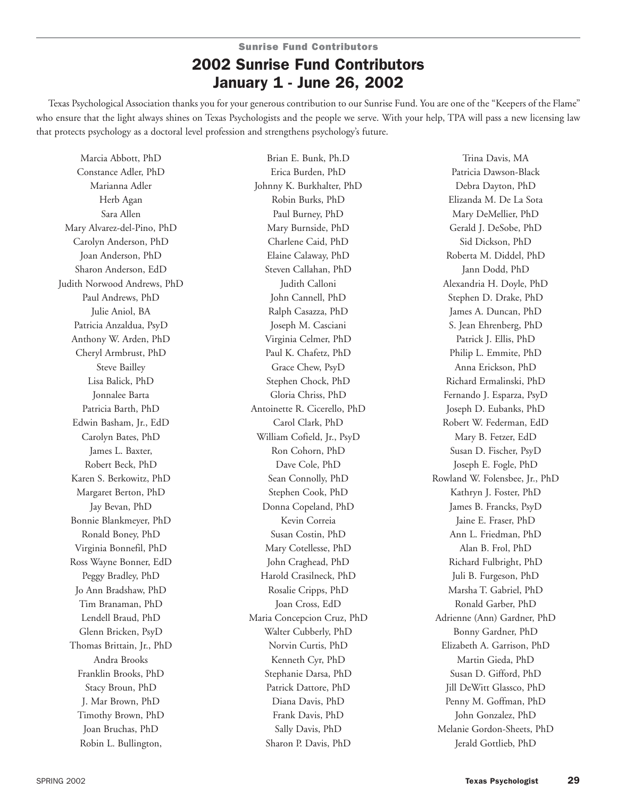### Sunrise Fund Contributors 2002 Sunrise Fund Contributors January 1 - June 26, 2002

Texas Psychological Association thanks you for your generous contribution to our Sunrise Fund. You are one of the "Keepers of the Flame" who ensure that the light always shines on Texas Psychologists and the people we serve. With your help, TPA will pass a new licensing law that protects psychology as a doctoral level profession and strengthens psychology's future.

Marcia Abbott, PhD Constance Adler, PhD Marianna Adler Herb Agan Sara Allen Mary Alvarez-del-Pino, PhD Carolyn Anderson, PhD Joan Anderson, PhD Sharon Anderson, EdD Judith Norwood Andrews, PhD Paul Andrews, PhD Julie Aniol, BA Patricia Anzaldua, PsyD Anthony W. Arden, PhD Cheryl Armbrust, PhD Steve Bailley Lisa Balick, PhD Jonnalee Barta Patricia Barth, PhD Edwin Basham, Jr., EdD Carolyn Bates, PhD James L. Baxter, Robert Beck, PhD Karen S. Berkowitz, PhD Margaret Berton, PhD Jay Bevan, PhD Bonnie Blankmeyer, PhD Ronald Boney, PhD Virginia Bonnefil, PhD Ross Wayne Bonner, EdD Peggy Bradley, PhD Jo Ann Bradshaw, PhD Tim Branaman, PhD Lendell Braud, PhD Glenn Bricken, PsyD Thomas Brittain, Jr., PhD Andra Brooks Franklin Brooks, PhD Stacy Broun, PhD J. Mar Brown, PhD Timothy Brown, PhD Joan Bruchas, PhD Robin L. Bullington,

Brian E. Bunk, Ph.D Erica Burden, PhD Johnny K. Burkhalter, PhD Robin Burks, PhD Paul Burney, PhD Mary Burnside, PhD Charlene Caid, PhD Elaine Calaway, PhD Steven Callahan, PhD Judith Calloni John Cannell, PhD Ralph Casazza, PhD Joseph M. Casciani Virginia Celmer, PhD Paul K. Chafetz, PhD Grace Chew, PsyD Stephen Chock, PhD Gloria Chriss, PhD Antoinette R. Cicerello, PhD Carol Clark, PhD William Cofield, Jr., PsyD Ron Cohorn, PhD Dave Cole, PhD Sean Connolly, PhD Stephen Cook, PhD Donna Copeland, PhD Kevin Correia Susan Costin, PhD Mary Cotellesse, PhD John Craghead, PhD Harold Crasilneck, PhD Rosalie Cripps, PhD Joan Cross, EdD Maria Concepcion Cruz, PhD Walter Cubberly, PhD Norvin Curtis, PhD Kenneth Cyr, PhD Stephanie Darsa, PhD Patrick Dattore, PhD Diana Davis, PhD Frank Davis, PhD Sally Davis, PhD Sharon P. Davis, PhD

Trina Davis, MA Patricia Dawson-Black Debra Dayton, PhD Elizanda M. De La Sota Mary DeMellier, PhD Gerald J. DeSobe, PhD Sid Dickson, PhD Roberta M. Diddel, PhD Jann Dodd, PhD Alexandria H. Doyle, PhD Stephen D. Drake, PhD James A. Duncan, PhD S. Jean Ehrenberg, PhD Patrick J. Ellis, PhD Philip L. Emmite, PhD Anna Erickson, PhD Richard Ermalinski, PhD Fernando J. Esparza, PsyD Joseph D. Eubanks, PhD Robert W. Federman, EdD Mary B. Fetzer, EdD Susan D. Fischer, PsyD Joseph E. Fogle, PhD Rowland W. Folensbee, Jr., PhD Kathryn J. Foster, PhD James B. Francks, PsyD Jaine E. Fraser, PhD Ann L. Friedman, PhD Alan B. Frol, PhD Richard Fulbright, PhD Juli B. Furgeson, PhD Marsha T. Gabriel, PhD Ronald Garber, PhD Adrienne (Ann) Gardner, PhD Bonny Gardner, PhD Elizabeth A. Garrison, PhD Martin Gieda, PhD Susan D. Gifford, PhD Jill DeWitt Glassco, PhD Penny M. Goffman, PhD John Gonzalez, PhD Melanie Gordon-Sheets, PhD Jerald Gottlieb, PhD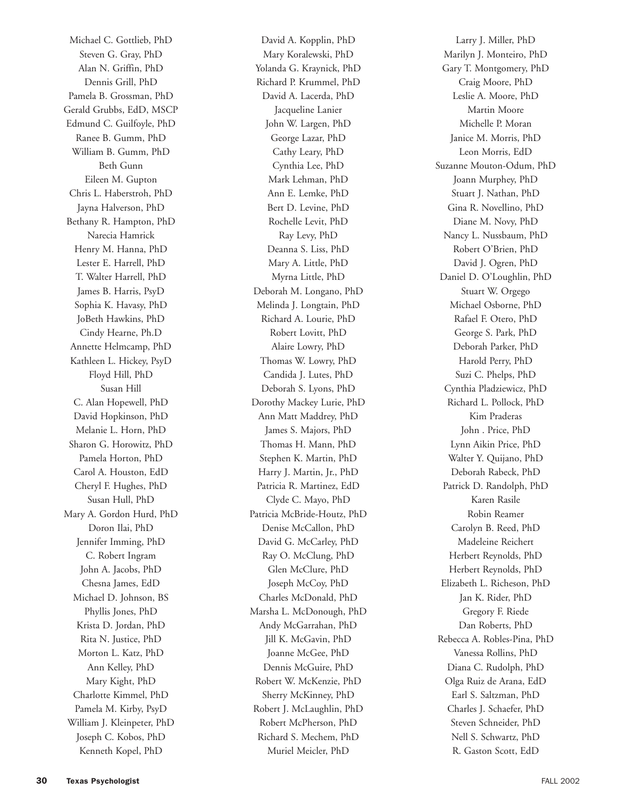Michael C. Gottlieb, PhD Steven G. Gray, PhD Alan N. Griffin, PhD Dennis Grill, PhD Pamela B. Grossman, PhD Gerald Grubbs, EdD, MSCP Edmund C. Guilfoyle, PhD Ranee B. Gumm, PhD William B. Gumm, PhD Beth Gunn Eileen M. Gupton Chris L. Haberstroh, PhD Jayna Halverson, PhD Bethany R. Hampton, PhD Narecia Hamrick Henry M. Hanna, PhD Lester E. Harrell, PhD T. Walter Harrell, PhD James B. Harris, PsyD Sophia K. Havasy, PhD JoBeth Hawkins, PhD Cindy Hearne, Ph.D Annette Helmcamp, PhD Kathleen L. Hickey, PsyD Floyd Hill, PhD Susan Hill C. Alan Hopewell, PhD David Hopkinson, PhD Melanie L. Horn, PhD Sharon G. Horowitz, PhD Pamela Horton, PhD Carol A. Houston, EdD Cheryl F. Hughes, PhD Susan Hull, PhD Mary A. Gordon Hurd, PhD Doron Ilai, PhD Jennifer Imming, PhD C. Robert Ingram John A. Jacobs, PhD Chesna James, EdD Michael D. Johnson, BS Phyllis Jones, PhD Krista D. Jordan, PhD Rita N. Justice, PhD Morton L. Katz, PhD Ann Kelley, PhD Mary Kight, PhD Charlotte Kimmel, PhD Pamela M. Kirby, PsyD William J. Kleinpeter, PhD Joseph C. Kobos, PhD Kenneth Kopel, PhD

David A. Kopplin, PhD Mary Koralewski, PhD Yolanda G. Kraynick, PhD Richard P. Krummel, PhD David A. Lacerda, PhD Jacqueline Lanier John W. Largen, PhD George Lazar, PhD Cathy Leary, PhD Cynthia Lee, PhD Mark Lehman, PhD Ann E. Lemke, PhD Bert D. Levine, PhD Rochelle Levit, PhD Ray Levy, PhD Deanna S. Liss, PhD Mary A. Little, PhD Myrna Little, PhD Deborah M. Longano, PhD Melinda J. Longtain, PhD Richard A. Lourie, PhD Robert Lovitt, PhD Alaire Lowry, PhD Thomas W. Lowry, PhD Candida J. Lutes, PhD Deborah S. Lyons, PhD Dorothy Mackey Lurie, PhD Ann Matt Maddrey, PhD James S. Majors, PhD Thomas H. Mann, PhD Stephen K. Martin, PhD Harry J. Martin, Jr., PhD Patricia R. Martinez, EdD Clyde C. Mayo, PhD Patricia McBride-Houtz, PhD Denise McCallon, PhD David G. McCarley, PhD Ray O. McClung, PhD Glen McClure, PhD Joseph McCoy, PhD Charles McDonald, PhD Marsha L. McDonough, PhD Andy McGarrahan, PhD Jill K. McGavin, PhD Joanne McGee, PhD Dennis McGuire, PhD Robert W. McKenzie, PhD Sherry McKinney, PhD Robert J. McLaughlin, PhD Robert McPherson, PhD Richard S. Mechem, PhD Muriel Meicler, PhD

Larry J. Miller, PhD Marilyn J. Monteiro, PhD Gary T. Montgomery, PhD Craig Moore, PhD Leslie A. Moore, PhD Martin Moore Michelle P. Moran Janice M. Morris, PhD Leon Morris, EdD Suzanne Mouton-Odum, PhD Joann Murphey, PhD Stuart J. Nathan, PhD Gina R. Novellino, PhD Diane M. Novy, PhD Nancy L. Nussbaum, PhD Robert O'Brien, PhD David J. Ogren, PhD Daniel D. O'Loughlin, PhD Stuart W. Orgego Michael Osborne, PhD Rafael F. Otero, PhD George S. Park, PhD Deborah Parker, PhD Harold Perry, PhD Suzi C. Phelps, PhD Cynthia Pladziewicz, PhD Richard L. Pollock, PhD Kim Praderas John . Price, PhD Lynn Aikin Price, PhD Walter Y. Quijano, PhD Deborah Rabeck, PhD Patrick D. Randolph, PhD Karen Rasile Robin Reamer Carolyn B. Reed, PhD Madeleine Reichert Herbert Reynolds, PhD Herbert Reynolds, PhD Elizabeth L. Richeson, PhD Jan K. Rider, PhD Gregory F. Riede Dan Roberts, PhD Rebecca A. Robles-Pina, PhD Vanessa Rollins, PhD Diana C. Rudolph, PhD Olga Ruiz de Arana, EdD Earl S. Saltzman, PhD Charles J. Schaefer, PhD Steven Schneider, PhD Nell S. Schwartz, PhD R. Gaston Scott, EdD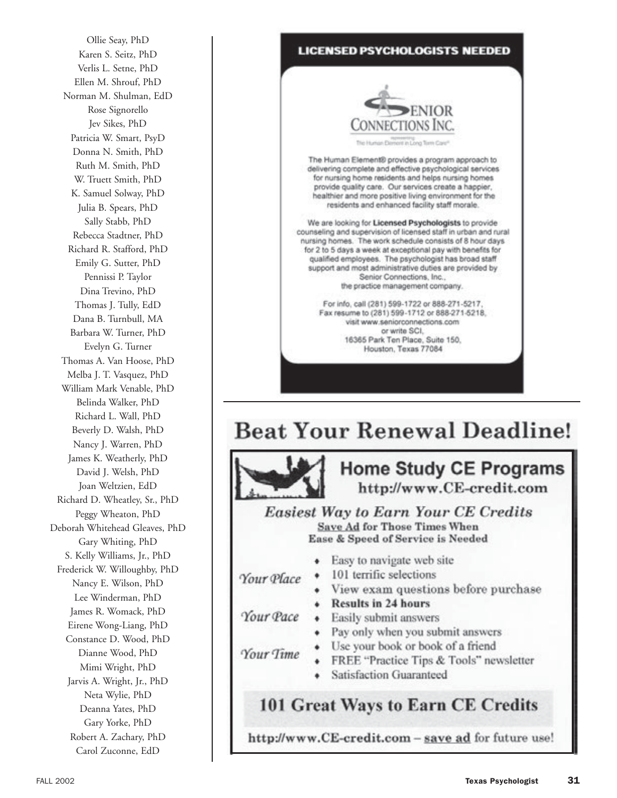Ollie Seay, PhD Karen S. Seitz, PhD Verlis L. Setne, PhD Ellen M. Shrouf, PhD Norman M. Shulman, EdD Rose Signorello Jev Sikes, PhD Patricia W. Smart, PsyD Donna N. Smith, PhD Ruth M. Smith, PhD W. Truett Smith, PhD K. Samuel Solway, PhD Julia B. Spears, PhD Sally Stabb, PhD Rebecca Stadtner, PhD Richard R. Stafford, PhD Emily G. Sutter, PhD Pennissi P. Taylor Dina Trevino, PhD Thomas J. Tully, EdD Dana B. Turnbull, MA Barbara W. Turner, PhD Evelyn G. Turner Thomas A. Van Hoose, PhD Melba J. T. Vasquez, PhD William Mark Venable, PhD Belinda Walker, PhD Richard L. Wall, PhD Beverly D. Walsh, PhD Nancy J. Warren, PhD James K. Weatherly, PhD David J. Welsh, PhD Joan Weltzien, EdD Richard D. Wheatley, Sr., PhD Peggy Wheaton, PhD Deborah Whitehead Gleaves, PhD Gary Whiting, PhD S. Kelly Williams, Jr., PhD Frederick W. Willoughby, PhD Nancy E. Wilson, PhD Lee Winderman, PhD James R. Womack, PhD Eirene Wong-Liang, PhD Constance D. Wood, PhD Dianne Wood, PhD Mimi Wright, PhD Jarvis A. Wright, Jr., PhD Neta Wylie, PhD Deanna Yates, PhD Gary Yorke, PhD Robert A. Zachary, PhD Carol Zuconne, EdD

#### **LICENSED PSYCHOLOGISTS NEEDED**



The Human Element® provides a program approach to delivering complete and effective psychological services for nursing home residents and helps nursing homes provide quality care. Our services create a happier, healthier and more positive living environment for the residents and enhanced facility staff morale.

We are looking for Licensed Psychologists to provide counseling and supervision of licensed staff in urban and rural nursing homes. The work schedule consists of 8 hour days for 2 to 5 days a week at exceptional pay with benefits for qualified employees. The psychologist has broad staff support and most administrative duties are provided by Senior Connections, Inc., the practice management company

> For info, call (281) 599-1722 or 888-271-5217, Fax resume to (281) 599-1712 or 888-271-5218. visit www.seniorconnections.com or write SCI. 16365 Park Ten Place, Suite 150, Houston, Texas 77084

# **Beat Your Renewal Deadline!**



## **Home Study CE Programs**

http://www.CE-credit.com

#### Easiest Way to Earn Your CE Credits **Save Ad for Those Times When** Ease & Speed of Service is Needed

Easy to navigate web site 101 terrific selections

Your Place

- View exam questions before purchase
	- **Results in 24 hours**

Your Pace • Easily submit answers

• Pay only when you submit answers

Your Time

- Use your book or book of a friend
- FREE "Practice Tips & Tools" newsletter
- **Satisfaction Guaranteed**

### **101 Great Ways to Earn CE Credits**

http://www.CE-credit.com - save ad for future use!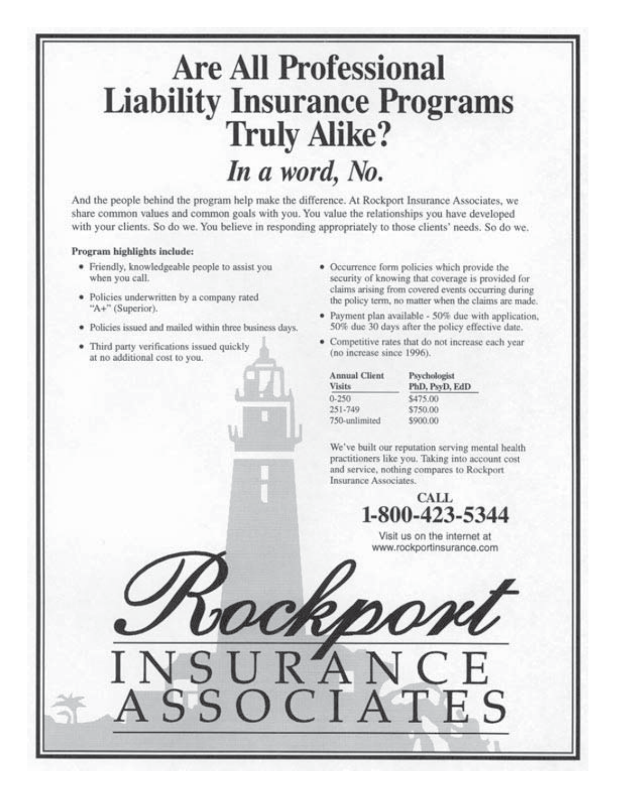# **Are All Professional Liability Insurance Programs Truly Alike?** In a word, No.

And the people behind the program help make the difference. At Rockport Insurance Associates, we share common values and common goals with you. You value the relationships you have developed with your clients. So do we, You believe in responding appropriately to those clients' needs. So do we,

SSOCIAT

#### Program highlights include:

- · Friendly, knowledgeable people to assist you when you call.
- · Policies underwritten by a company rated "A+" (Superior).
- · Policies issued and mailed within three business days.
- Third party verifications issued quickly at no additional cost to you.
- · Occurrence form policies which provide the security of knowing that coverage is provided for claims arising from covered events occurring during the policy term, no matter when the claims are made.
- · Payment plan available 50% due with application, 50% due 30 days after the policy effective date.
- Competitive rates that do not increase each year (no increase since 1996).

| Annual Client<br>Visits: | Psychologist<br>PhD, PsyD, EdD |  |  |
|--------------------------|--------------------------------|--|--|
| $0 - 250$                | \$475.00                       |  |  |
| 251-749                  | \$750.00                       |  |  |
| 750-unlimited            | \$900.00                       |  |  |

We've built our reputation serving mental health practitioners like you. Taking into account cost and service, nothing compares to Rockport Insurance Associates.



Visit us on the internet at www.rockportinsurance.com